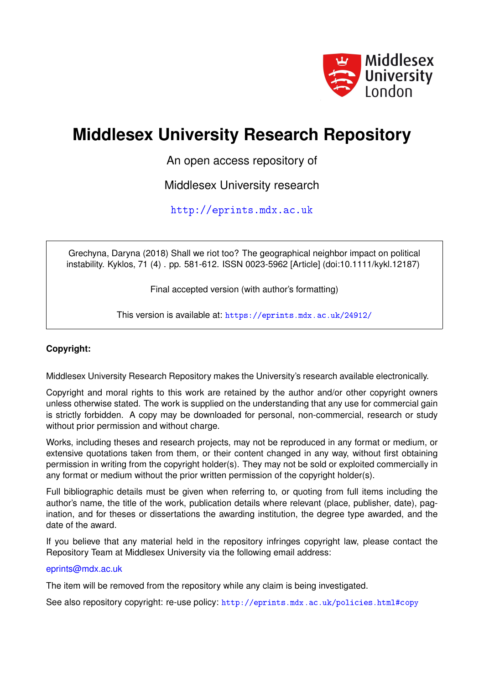

# **Middlesex University Research Repository**

An open access repository of

Middlesex University research

<http://eprints.mdx.ac.uk>

Grechyna, Daryna (2018) Shall we riot too? The geographical neighbor impact on political instability. Kyklos, 71 (4) . pp. 581-612. ISSN 0023-5962 [Article] (doi:10.1111/kykl.12187)

Final accepted version (with author's formatting)

This version is available at: <https://eprints.mdx.ac.uk/24912/>

# **Copyright:**

Middlesex University Research Repository makes the University's research available electronically.

Copyright and moral rights to this work are retained by the author and/or other copyright owners unless otherwise stated. The work is supplied on the understanding that any use for commercial gain is strictly forbidden. A copy may be downloaded for personal, non-commercial, research or study without prior permission and without charge.

Works, including theses and research projects, may not be reproduced in any format or medium, or extensive quotations taken from them, or their content changed in any way, without first obtaining permission in writing from the copyright holder(s). They may not be sold or exploited commercially in any format or medium without the prior written permission of the copyright holder(s).

Full bibliographic details must be given when referring to, or quoting from full items including the author's name, the title of the work, publication details where relevant (place, publisher, date), pagination, and for theses or dissertations the awarding institution, the degree type awarded, and the date of the award.

If you believe that any material held in the repository infringes copyright law, please contact the Repository Team at Middlesex University via the following email address:

## [eprints@mdx.ac.uk](mailto:eprints@mdx.ac.uk)

The item will be removed from the repository while any claim is being investigated.

See also repository copyright: re-use policy: <http://eprints.mdx.ac.uk/policies.html#copy>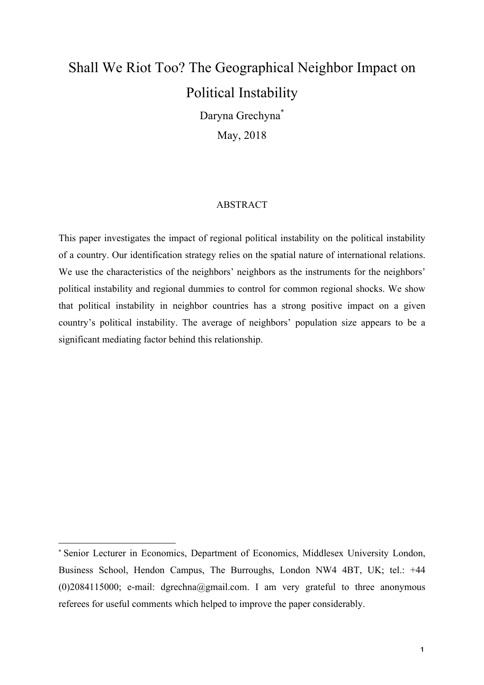# Shall We Riot Too? The Geographical Neighbor Impact on Political Instability Daryna Grechyna\*

May, 2018

# ABSTRACT

This paper investigates the impact of regional political instability on the political instability of a country. Our identification strategy relies on the spatial nature of international relations. We use the characteristics of the neighbors' neighbors as the instruments for the neighbors' political instability and regional dummies to control for common regional shocks. We show that political instability in neighbor countries has a strong positive impact on a given country's political instability. The average of neighbors' population size appears to be a significant mediating factor behind this relationship.

<sup>\*</sup> Senior Lecturer in Economics, Department of Economics, Middlesex University London, Business School, Hendon Campus, The Burroughs, London NW4 4BT, UK; tel.: +44 (0)2084115000; e-mail: dgrechna@gmail.com. I am very grateful to three anonymous referees for useful comments which helped to improve the paper considerably.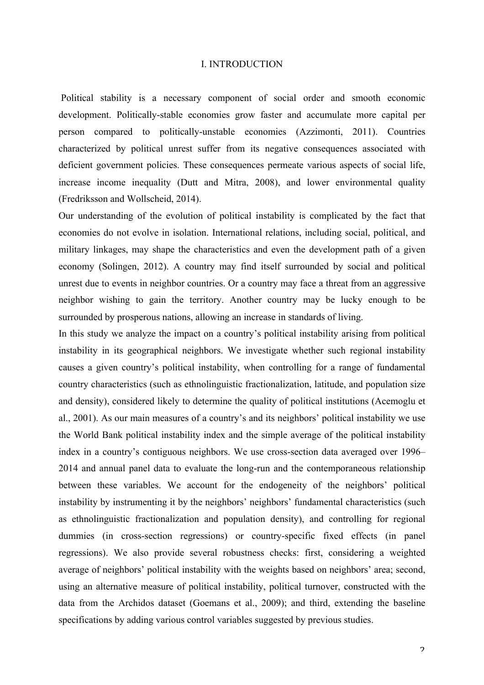#### I. INTRODUCTION

Political stability is a necessary component of social order and smooth economic development. Politically-stable economies grow faster and accumulate more capital per person compared to politically-unstable economies (Azzimonti, 2011). Countries characterized by political unrest suffer from its negative consequences associated with deficient government policies. These consequences permeate various aspects of social life, increase income inequality (Dutt and Mitra, 2008), and lower environmental quality (Fredriksson and Wollscheid, 2014).

Our understanding of the evolution of political instability is complicated by the fact that economies do not evolve in isolation. International relations, including social, political, and military linkages, may shape the characteristics and even the development path of a given economy (Solingen, 2012). A country may find itself surrounded by social and political unrest due to events in neighbor countries. Or a country may face a threat from an aggressive neighbor wishing to gain the territory. Another country may be lucky enough to be surrounded by prosperous nations, allowing an increase in standards of living.

In this study we analyze the impact on a country's political instability arising from political instability in its geographical neighbors. We investigate whether such regional instability causes a given country's political instability, when controlling for a range of fundamental country characteristics (such as ethnolinguistic fractionalization, latitude, and population size and density), considered likely to determine the quality of political institutions (Acemoglu et al., 2001). As our main measures of a country's and its neighbors' political instability we use the World Bank political instability index and the simple average of the political instability index in a country's contiguous neighbors. We use cross-section data averaged over 1996– 2014 and annual panel data to evaluate the long-run and the contemporaneous relationship between these variables. We account for the endogeneity of the neighbors' political instability by instrumenting it by the neighbors' neighbors' fundamental characteristics (such as ethnolinguistic fractionalization and population density), and controlling for regional dummies (in cross-section regressions) or country-specific fixed effects (in panel regressions). We also provide several robustness checks: first, considering a weighted average of neighbors' political instability with the weights based on neighbors' area; second, using an alternative measure of political instability, political turnover, constructed with the data from the Archidos dataset (Goemans et al., 2009); and third, extending the baseline specifications by adding various control variables suggested by previous studies.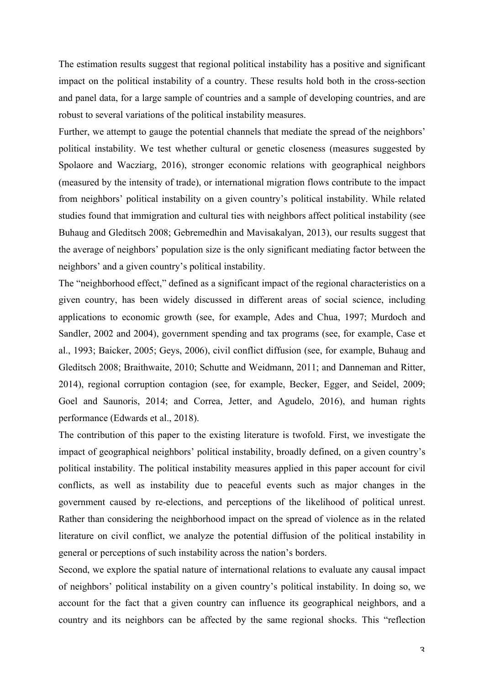The estimation results suggest that regional political instability has a positive and significant impact on the political instability of a country. These results hold both in the cross-section and panel data, for a large sample of countries and a sample of developing countries, and are robust to several variations of the political instability measures.

Further, we attempt to gauge the potential channels that mediate the spread of the neighbors' political instability. We test whether cultural or genetic closeness (measures suggested by Spolaore and Wacziarg, 2016), stronger economic relations with geographical neighbors (measured by the intensity of trade), or international migration flows contribute to the impact from neighbors' political instability on a given country's political instability. While related studies found that immigration and cultural ties with neighbors affect political instability (see Buhaug and Gleditsch 2008; Gebremedhin and Mavisakalyan, 2013), our results suggest that the average of neighbors' population size is the only significant mediating factor between the neighbors' and a given country's political instability.

The "neighborhood effect," defined as a significant impact of the regional characteristics on a given country, has been widely discussed in different areas of social science, including applications to economic growth (see, for example, Ades and Chua, 1997; Murdoch and Sandler, 2002 and 2004), government spending and tax programs (see, for example, Case et al., 1993; Baicker, 2005; Geys, 2006), civil conflict diffusion (see, for example, Buhaug and Gleditsch 2008; Braithwaite, 2010; Schutte and Weidmann, 2011; and Danneman and Ritter, 2014), regional corruption contagion (see, for example, Becker, Egger, and Seidel, 2009; Goel and Saunoris, 2014; and Correa, Jetter, and Agudelo, 2016), and human rights performance (Edwards et al., 2018).

The contribution of this paper to the existing literature is twofold. First, we investigate the impact of geographical neighbors' political instability, broadly defined, on a given country's political instability. The political instability measures applied in this paper account for civil conflicts, as well as instability due to peaceful events such as major changes in the government caused by re-elections, and perceptions of the likelihood of political unrest. Rather than considering the neighborhood impact on the spread of violence as in the related literature on civil conflict, we analyze the potential diffusion of the political instability in general or perceptions of such instability across the nation's borders.

Second, we explore the spatial nature of international relations to evaluate any causal impact of neighbors' political instability on a given country's political instability. In doing so, we account for the fact that a given country can influence its geographical neighbors, and a country and its neighbors can be affected by the same regional shocks. This "reflection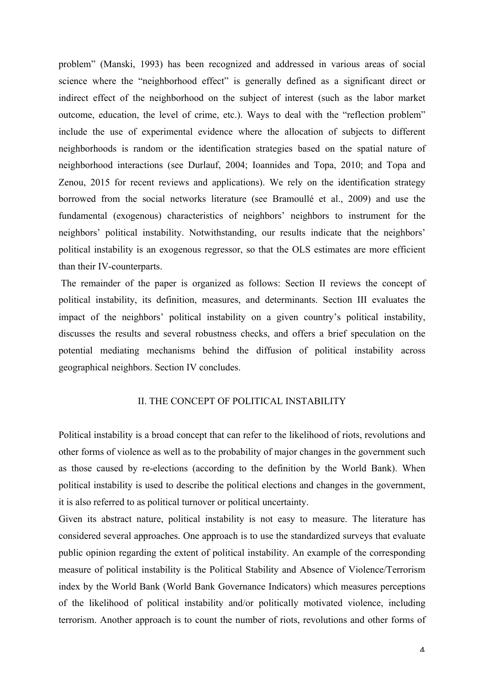problem" (Manski, 1993) has been recognized and addressed in various areas of social science where the "neighborhood effect" is generally defined as a significant direct or indirect effect of the neighborhood on the subject of interest (such as the labor market outcome, education, the level of crime, etc.). Ways to deal with the "reflection problem" include the use of experimental evidence where the allocation of subjects to different neighborhoods is random or the identification strategies based on the spatial nature of neighborhood interactions (see Durlauf, 2004; Ioannides and Topa, 2010; and Topa and Zenou, 2015 for recent reviews and applications). We rely on the identification strategy borrowed from the social networks literature (see Bramoullé et al., 2009) and use the fundamental (exogenous) characteristics of neighbors' neighbors to instrument for the neighbors' political instability. Notwithstanding, our results indicate that the neighbors' political instability is an exogenous regressor, so that the OLS estimates are more efficient than their IV-counterparts.

The remainder of the paper is organized as follows: Section II reviews the concept of political instability, its definition, measures, and determinants. Section III evaluates the impact of the neighbors' political instability on a given country's political instability, discusses the results and several robustness checks, and offers a brief speculation on the potential mediating mechanisms behind the diffusion of political instability across geographical neighbors. Section IV concludes.

# II. THE CONCEPT OF POLITICAL INSTABILITY

Political instability is a broad concept that can refer to the likelihood of riots, revolutions and other forms of violence as well as to the probability of major changes in the government such as those caused by re-elections (according to the definition by the World Bank). When political instability is used to describe the political elections and changes in the government, it is also referred to as political turnover or political uncertainty.

Given its abstract nature, political instability is not easy to measure. The literature has considered several approaches. One approach is to use the standardized surveys that evaluate public opinion regarding the extent of political instability. An example of the corresponding measure of political instability is the Political Stability and Absence of Violence/Terrorism index by the World Bank (World Bank Governance Indicators) which measures perceptions of the likelihood of political instability and/or politically motivated violence, including terrorism. Another approach is to count the number of riots, revolutions and other forms of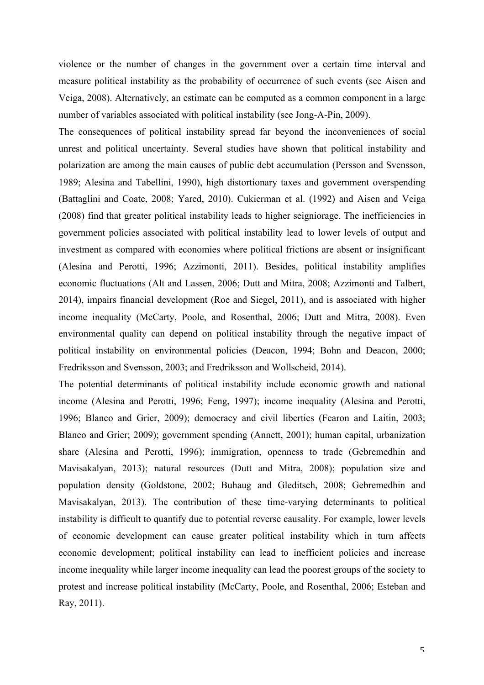violence or the number of changes in the government over a certain time interval and measure political instability as the probability of occurrence of such events (see Aisen and Veiga, 2008). Alternatively, an estimate can be computed as a common component in a large number of variables associated with political instability (see Jong-A-Pin, 2009).

The consequences of political instability spread far beyond the inconveniences of social unrest and political uncertainty. Several studies have shown that political instability and polarization are among the main causes of public debt accumulation (Persson and Svensson, 1989; Alesina and Tabellini, 1990), high distortionary taxes and government overspending (Battaglini and Coate, 2008; Yared, 2010). Cukierman et al. (1992) and Aisen and Veiga (2008) find that greater political instability leads to higher seigniorage. The inefficiencies in government policies associated with political instability lead to lower levels of output and investment as compared with economies where political frictions are absent or insignificant (Alesina and Perotti, 1996; Azzimonti, 2011). Besides, political instability amplifies economic fluctuations (Alt and Lassen, 2006; Dutt and Mitra, 2008; Azzimonti and Talbert, 2014), impairs financial development (Roe and Siegel, 2011), and is associated with higher income inequality (McCarty, Poole, and Rosenthal, 2006; Dutt and Mitra, 2008). Even environmental quality can depend on political instability through the negative impact of political instability on environmental policies (Deacon, 1994; Bohn and Deacon, 2000; Fredriksson and Svensson, 2003; and Fredriksson and Wollscheid, 2014).

The potential determinants of political instability include economic growth and national income (Alesina and Perotti, 1996; Feng, 1997); income inequality (Alesina and Perotti, 1996; Blanco and Grier, 2009); democracy and civil liberties (Fearon and Laitin, 2003; Blanco and Grier; 2009); government spending (Annett, 2001); human capital, urbanization share (Alesina and Perotti, 1996); immigration, openness to trade (Gebremedhin and Mavisakalyan, 2013); natural resources (Dutt and Mitra, 2008); population size and population density (Goldstone, 2002; Buhaug and Gleditsch, 2008; Gebremedhin and Mavisakalyan, 2013). The contribution of these time-varying determinants to political instability is difficult to quantify due to potential reverse causality. For example, lower levels of economic development can cause greater political instability which in turn affects economic development; political instability can lead to inefficient policies and increase income inequality while larger income inequality can lead the poorest groups of the society to protest and increase political instability (McCarty, Poole, and Rosenthal, 2006; Esteban and Ray, 2011).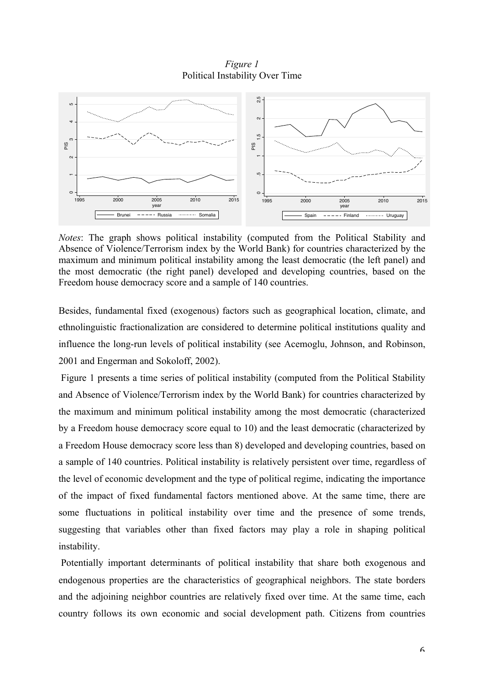*Figure 1* Political Instability Over Time



*Notes*: The graph shows political instability (computed from the Political Stability and Absence of Violence/Terrorism index by the World Bank) for countries characterized by the maximum and minimum political instability among the least democratic (the left panel) and the most democratic (the right panel) developed and developing countries, based on the Freedom house democracy score and a sample of 140 countries.

Besides, fundamental fixed (exogenous) factors such as geographical location, climate, and ethnolinguistic fractionalization are considered to determine political institutions quality and influence the long-run levels of political instability (see Acemoglu, Johnson, and Robinson, 2001 and Engerman and Sokoloff, 2002).

Figure 1 presents a time series of political instability (computed from the Political Stability and Absence of Violence/Terrorism index by the World Bank) for countries characterized by the maximum and minimum political instability among the most democratic (characterized by a Freedom house democracy score equal to 10) and the least democratic (characterized by a Freedom House democracy score less than 8) developed and developing countries, based on a sample of 140 countries. Political instability is relatively persistent over time, regardless of the level of economic development and the type of political regime, indicating the importance of the impact of fixed fundamental factors mentioned above. At the same time, there are some fluctuations in political instability over time and the presence of some trends, suggesting that variables other than fixed factors may play a role in shaping political instability.

Potentially important determinants of political instability that share both exogenous and endogenous properties are the characteristics of geographical neighbors. The state borders and the adjoining neighbor countries are relatively fixed over time. At the same time, each country follows its own economic and social development path. Citizens from countries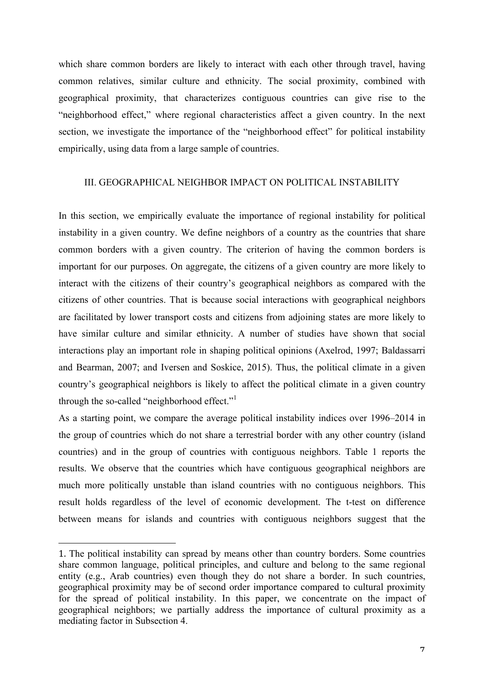which share common borders are likely to interact with each other through travel, having common relatives, similar culture and ethnicity. The social proximity, combined with geographical proximity, that characterizes contiguous countries can give rise to the "neighborhood effect," where regional characteristics affect a given country. In the next section, we investigate the importance of the "neighborhood effect" for political instability empirically, using data from a large sample of countries.

# III. GEOGRAPHICAL NEIGHBOR IMPACT ON POLITICAL INSTABILITY

In this section, we empirically evaluate the importance of regional instability for political instability in a given country. We define neighbors of a country as the countries that share common borders with a given country. The criterion of having the common borders is important for our purposes. On aggregate, the citizens of a given country are more likely to interact with the citizens of their country's geographical neighbors as compared with the citizens of other countries. That is because social interactions with geographical neighbors are facilitated by lower transport costs and citizens from adjoining states are more likely to have similar culture and similar ethnicity. A number of studies have shown that social interactions play an important role in shaping political opinions (Axelrod, 1997; Baldassarri and Bearman, 2007; and Iversen and Soskice, 2015). Thus, the political climate in a given country's geographical neighbors is likely to affect the political climate in a given country through the so-called "neighborhood effect."<sup>1</sup>

As a starting point, we compare the average political instability indices over 1996–2014 in the group of countries which do not share a terrestrial border with any other country (island countries) and in the group of countries with contiguous neighbors. Table 1 reports the results. We observe that the countries which have contiguous geographical neighbors are much more politically unstable than island countries with no contiguous neighbors. This result holds regardless of the level of economic development. The t-test on difference between means for islands and countries with contiguous neighbors suggest that the

<sup>1.</sup> The political instability can spread by means other than country borders. Some countries share common language, political principles, and culture and belong to the same regional entity (e.g., Arab countries) even though they do not share a border. In such countries, geographical proximity may be of second order importance compared to cultural proximity for the spread of political instability. In this paper, we concentrate on the impact of geographical neighbors; we partially address the importance of cultural proximity as a mediating factor in Subsection 4.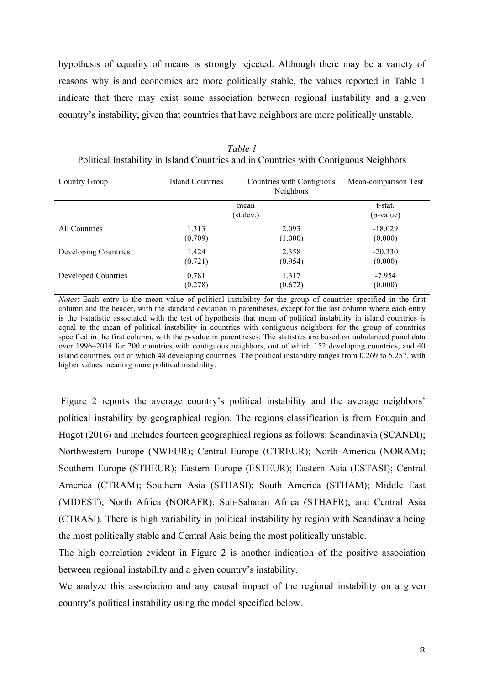hypothesis of equality of means is strongly rejected. Although there may be a variety of reasons why island economies are more politically stable, the values reported in Table 1 indicate that there may exist some association between regional instability and a given country's instability, given that countries that have neighbors are more politically unstable.

| Country Group        | Island Countries | Mean-comparison Test                   |           |  |
|----------------------|------------------|----------------------------------------|-----------|--|
|                      |                  | Countries with Contiguous<br>Neighbors |           |  |
|                      |                  | mean                                   | t-stat.   |  |
|                      |                  | (st. dev.)                             | (p-value) |  |
| All Countries        | 1.313            | 2.093                                  | $-18.029$ |  |
|                      | (0.709)          | (1.000)                                | (0.000)   |  |
| Developing Countries | 1.424            | 2.358                                  | $-20.330$ |  |
|                      | (0.721)          | (0.954)                                | (0.000)   |  |
| Developed Countries  | 0.781            | 1.317                                  | $-7.954$  |  |
|                      | (0.278)          | (0.672)                                | (0.000)   |  |

*Table 1* Political Instability in Island Countries and in Countries with Contiguous Neighbors

*Notes*: Each entry is the mean value of political instability for the group of countries specified in the first column and the header, with the standard deviation in parentheses, except for the last column where each entry is the t-statistic associated with the test of hypothesis that mean of political instability in island countries is equal to the mean of political instability in countries with contiguous neighbors for the group of countries specified in the first column, with the p-value in parentheses. The statistics are based on unbalanced panel data over 1996–2014 for 200 countries with contiguous neighbors, out of which 152 developing countries, and 40 island countries, out of which 48 developing countries. The political instability ranges from 0.269 to 5.257, with higher values meaning more political instability.

Figure 2 reports the average country's political instability and the average neighbors' political instability by geographical region. The regions classification is from Fouquin and Hugot (2016) and includes fourteen geographical regions as follows: Scandinavia (SCANDI); Northwestern Europe (NWEUR); Central Europe (CTREUR); North America (NORAM); Southern Europe (STHEUR); Eastern Europe (ESTEUR); Eastern Asia (ESTASI); Central America (CTRAM); Southern Asia (STHASI); South America (STHAM); Middle East (MIDEST); North Africa (NORAFR); Sub-Saharan Africa (STHAFR); and Central Asia (CTRASI). There is high variability in political instability by region with Scandinavia being the most politically stable and Central Asia being the most politically unstable.

The high correlation evident in Figure 2 is another indication of the positive association between regional instability and a given country's instability.

We analyze this association and any causal impact of the regional instability on a given country's political instability using the model specified below.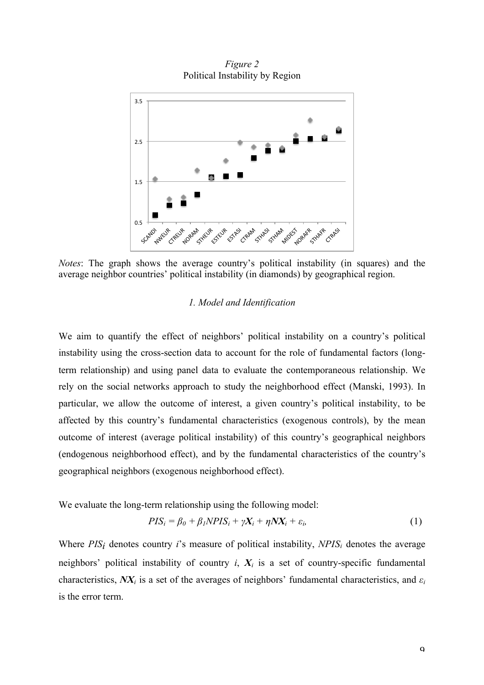*Figure 2* Political Instability by Region



*Notes*: The graph shows the average country's political instability (in squares) and the average neighbor countries' political instability (in diamonds) by geographical region.

# *1. Model and Identification*

We aim to quantify the effect of neighbors' political instability on a country's political instability using the cross-section data to account for the role of fundamental factors (longterm relationship) and using panel data to evaluate the contemporaneous relationship. We rely on the social networks approach to study the neighborhood effect (Manski, 1993). In particular, we allow the outcome of interest, a given country's political instability, to be affected by this country's fundamental characteristics (exogenous controls), by the mean outcome of interest (average political instability) of this country's geographical neighbors (endogenous neighborhood effect), and by the fundamental characteristics of the country's geographical neighbors (exogenous neighborhood effect).

We evaluate the long-term relationship using the following model:

$$
PIS_i = \beta_0 + \beta_1 NPIS_i + \gamma X_i + \eta N X_i + \varepsilon_i, \qquad (1)
$$

Where  $PIS_i$  denotes country *i*'s measure of political instability,  $NPIS_i$  denotes the average neighbors' political instability of country  $i$ ,  $X_i$  is a set of country-specific fundamental characteristics,  $NX_i$  is a set of the averages of neighbors' fundamental characteristics, and  $\varepsilon_i$ is the error term.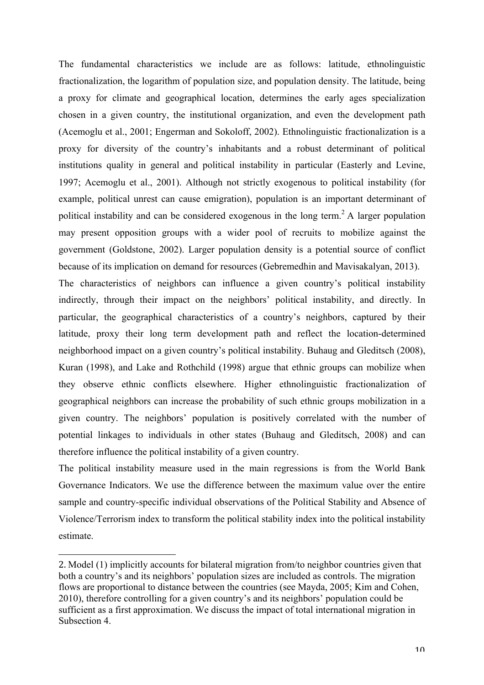The fundamental characteristics we include are as follows: latitude, ethnolinguistic fractionalization, the logarithm of population size, and population density. The latitude, being a proxy for climate and geographical location, determines the early ages specialization chosen in a given country, the institutional organization, and even the development path (Acemoglu et al., 2001; Engerman and Sokoloff, 2002). Ethnolinguistic fractionalization is a proxy for diversity of the country's inhabitants and a robust determinant of political institutions quality in general and political instability in particular (Easterly and Levine, 1997; Acemoglu et al., 2001). Although not strictly exogenous to political instability (for example, political unrest can cause emigration), population is an important determinant of political instability and can be considered exogenous in the long term.<sup>2</sup> A larger population may present opposition groups with a wider pool of recruits to mobilize against the government (Goldstone, 2002). Larger population density is a potential source of conflict because of its implication on demand for resources (Gebremedhin and Mavisakalyan, 2013).

The characteristics of neighbors can influence a given country's political instability indirectly, through their impact on the neighbors' political instability, and directly. In particular, the geographical characteristics of a country's neighbors, captured by their latitude, proxy their long term development path and reflect the location-determined neighborhood impact on a given country's political instability. Buhaug and Gleditsch (2008), Kuran (1998), and Lake and Rothchild (1998) argue that ethnic groups can mobilize when they observe ethnic conflicts elsewhere. Higher ethnolinguistic fractionalization of geographical neighbors can increase the probability of such ethnic groups mobilization in a given country. The neighbors' population is positively correlated with the number of potential linkages to individuals in other states (Buhaug and Gleditsch, 2008) and can therefore influence the political instability of a given country.

The political instability measure used in the main regressions is from the World Bank Governance Indicators. We use the difference between the maximum value over the entire sample and country-specific individual observations of the Political Stability and Absence of Violence/Terrorism index to transform the political stability index into the political instability estimate.

<sup>2.</sup> Model (1) implicitly accounts for bilateral migration from/to neighbor countries given that both a country's and its neighbors' population sizes are included as controls. The migration flows are proportional to distance between the countries (see Mayda, 2005; Kim and Cohen, 2010), therefore controlling for a given country's and its neighbors' population could be sufficient as a first approximation. We discuss the impact of total international migration in Subsection 4.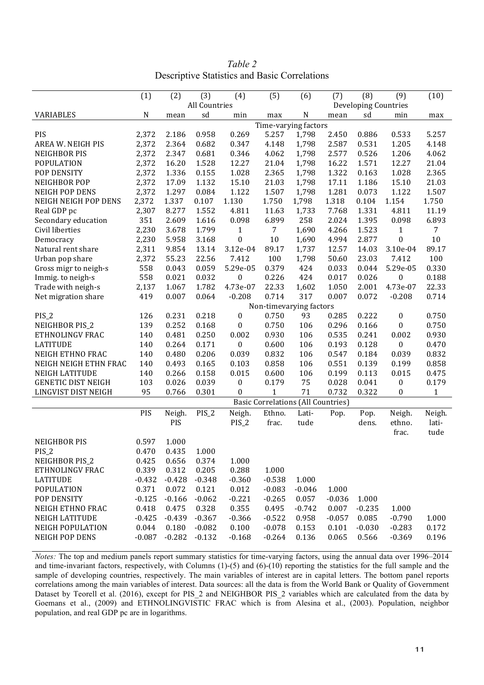|                           | (1)      | (2)      | (3)           | (4)              | (5)      | (6)                                       | (7)      | (8)                         | (9)              | (10)   |
|---------------------------|----------|----------|---------------|------------------|----------|-------------------------------------------|----------|-----------------------------|------------------|--------|
|                           |          |          | All Countries |                  |          |                                           |          | <b>Developing Countries</b> |                  |        |
| VARIABLES                 | N        | mean     | sd            | min              | max      | N                                         | mean     | sd                          | min              | max    |
|                           |          |          |               |                  |          | Time-varying factors                      |          |                             |                  |        |
| PIS                       | 2,372    | 2.186    | 0.958         | 0.269            | 5.257    | 1,798                                     | 2.450    | 0.886                       | 0.533            | 5.257  |
| AREA W. NEIGH PIS         | 2,372    | 2.364    | 0.682         | 0.347            | 4.148    | 1,798                                     | 2.587    | 0.531                       | 1.205            | 4.148  |
| NEIGHBOR PIS              | 2,372    | 2.347    | 0.681         | 0.346            | 4.062    | 1,798                                     | 2.577    | 0.526                       | 1.206            | 4.062  |
| <b>POPULATION</b>         | 2,372    | 16.20    | 1.528         | 12.27            | 21.04    | 1,798                                     | 16.22    | 1.571                       | 12.27            | 21.04  |
| POP DENSITY               | 2,372    | 1.336    | 0.155         | 1.028            | 2.365    | 1,798                                     | 1.322    | 0.163                       | 1.028            | 2.365  |
| NEIGHBOR POP              | 2,372    | 17.09    | 1.132         | 15.10            | 21.03    | 1,798                                     | 17.11    | 1.186                       | 15.10            | 21.03  |
| <b>NEIGH POP DENS</b>     | 2,372    | 1.297    | 0.084         | 1.122            | 1.507    | 1,798                                     | 1.281    | 0.073                       | 1.122            | 1.507  |
| NEIGH NEIGH POP DENS      | 2,372    | 1.337    | 0.107         | 1.130            | 1.750    | 1,798                                     | 1.318    | 0.104                       | 1.154            | 1.750  |
| Real GDP pc               | 2,307    | 8.277    | 1.552         | 4.811            | 11.63    | 1,733                                     | 7.768    | 1.331                       | 4.811            | 11.19  |
| Secondary education       | 351      | 2.609    | 1.616         | 0.098            | 6.899    | 258                                       | 2.024    | 1.395                       | 0.098            | 6.893  |
| Civil liberties           | 2,230    | 3.678    | 1.799         | 1                | 7        | 1,690                                     | 4.266    | 1.523                       | $\mathbf{1}$     | 7      |
| Democracy                 | 2,230    | 5.958    | 3.168         | $\boldsymbol{0}$ | $10\,$   | 1,690                                     | 4.994    | 2.877                       | $\boldsymbol{0}$ | 10     |
| Natural rent share        | 2,311    | 9.854    | 13.14         | 3.12e-04         | 89.17    | 1,737                                     | 12.57    | 14.03                       | 3.10e-04         | 89.17  |
| Urban pop share           | 2,372    | 55.23    | 22.56         | 7.412            | 100      | 1,798                                     | 50.60    | 23.03                       | 7.412            | 100    |
| Gross migr to neigh-s     | 558      | 0.043    | 0.059         | 5.29e-05         | 0.379    | 424                                       | 0.033    | 0.044                       | 5.29e-05         | 0.330  |
| Immig. to neigh-s         | 558      | 0.021    | 0.032         | $\boldsymbol{0}$ | 0.226    | 424                                       | 0.017    | 0.026                       | $\mathbf{0}$     | 0.188  |
| Trade with neigh-s        | 2,137    | 1.067    | 1.782         | 4.73e-07         | 22.33    | 1,602                                     | 1.050    | 2.001                       | 4.73e-07         | 22.33  |
| Net migration share       | 419      | 0.007    | 0.064         | $-0.208$         | 0.714    | 317                                       | 0.007    | 0.072                       | $-0.208$         | 0.714  |
|                           |          |          |               |                  |          | Non-timevarying factors                   |          |                             |                  |        |
| PIS_2                     | 126      | 0.231    | 0.218         | $\boldsymbol{0}$ | 0.750    | 93                                        | 0.285    | 0.222                       | $\boldsymbol{0}$ | 0.750  |
| NEIGHBOR PIS_2            | 139      | 0.252    | 0.168         | $\boldsymbol{0}$ | 0.750    | 106                                       | 0.296    | 0.166                       | $\boldsymbol{0}$ | 0.750  |
| ETHNOLINGV FRAC           | 140      | 0.481    | 0.250         | 0.002            | 0.930    | 106                                       | 0.535    | 0.241                       | 0.002            | 0.930  |
| <b>LATITUDE</b>           | 140      | 0.264    | 0.171         | 0                | 0.600    | 106                                       | 0.193    | 0.128                       | 0                | 0.470  |
| <b>NEIGH ETHNO FRAC</b>   | 140      | 0.480    | 0.206         | 0.039            | 0.832    | 106                                       | 0.547    | 0.184                       | 0.039            | 0.832  |
| NEIGH NEIGH ETHN FRAC     | 140      | 0.493    | 0.165         | 0.103            | 0.858    | 106                                       | 0.551    | 0.139                       | 0.199            | 0.858  |
| <b>NEIGH LATITUDE</b>     | 140      | 0.266    | 0.158         | 0.015            | 0.600    | 106                                       | 0.199    | 0.113                       | 0.015            | 0.475  |
| <b>GENETIC DIST NEIGH</b> | 103      | 0.026    | 0.039         | $\boldsymbol{0}$ | 0.179    | 75                                        | 0.028    | 0.041                       | 0                | 0.179  |
| LINGVIST DIST NEIGH       | 95       | 0.766    | 0.301         | $\boldsymbol{0}$ | 1        | 71                                        | 0.732    | 0.322                       | 0                | 1      |
|                           |          |          |               |                  |          | <b>Basic Correlations (All Countries)</b> |          |                             |                  |        |
|                           | PIS      | Neigh.   | PIS_2         | Neigh.           | Ethno.   | Lati-                                     | Pop.     | Pop.                        | Neigh.           | Neigh. |
|                           |          | PIS      |               | $PIS_2$          | frac.    | tude                                      |          | dens.                       | ethno.           | lati-  |
|                           |          |          |               |                  |          |                                           |          |                             | frac.            | tude   |
| <b>NEIGHBOR PIS</b>       | 0.597    | 1.000    |               |                  |          |                                           |          |                             |                  |        |
| PIS_2                     | 0.470    | 0.435    | 1.000         |                  |          |                                           |          |                             |                  |        |
| NEIGHBOR PIS_2            | 0.425    | 0.656    | 0.374         | 1.000            |          |                                           |          |                             |                  |        |
| ETHNOLINGV FRAC           | 0.339    | 0.312    | 0.205         | 0.288            | 1.000    |                                           |          |                             |                  |        |
| <b>LATITUDE</b>           | $-0.432$ | $-0.428$ | $-0.348$      | $-0.360$         | $-0.538$ | 1.000                                     |          |                             |                  |        |
| <b>POPULATION</b>         | 0.371    | 0.072    | 0.121         | 0.012            | $-0.083$ | $-0.046$                                  | 1.000    |                             |                  |        |
| POP DENSITY               | $-0.125$ | $-0.166$ | $-0.062$      | $-0.221$         | $-0.265$ | 0.057                                     | $-0.036$ | 1.000                       |                  |        |
| <b>NEIGH ETHNO FRAC</b>   | 0.418    | 0.475    | 0.328         | 0.355            | 0.495    | $-0.742$                                  | 0.007    | $-0.235$                    | 1.000            |        |
| <b>NEIGH LATITUDE</b>     | $-0.425$ | $-0.439$ | $-0.367$      | $-0.366$         | $-0.522$ | 0.958                                     | $-0.057$ | 0.085                       | $-0.790$         | 1.000  |
| <b>NEIGH POPULATION</b>   | 0.044    | 0.180    | $-0.082$      | 0.100            | $-0.078$ | 0.153                                     | 0.101    | $-0.030$                    | $-0.283$         | 0.172  |
| <b>NEIGH POP DENS</b>     | $-0.087$ | $-0.282$ | $-0.132$      | $-0.168$         | $-0.264$ | 0.136                                     | 0.065    | 0.566                       | $-0.369$         | 0.196  |

*Table 2* Descriptive Statistics and Basic Correlations

*Notes:* The top and medium panels report summary statistics for time-varying factors, using the annual data over 1996–2014 and time-invariant factors, respectively, with Columns  $(1)-(5)$  and  $(6)-(10)$  reporting the statistics for the full sample and the sample of developing countries, respectively. The main variables of interest are in capital letters. The bottom panel reports correlations among the main variables of interest. Data sources: all the data is from the World Bank or Quality of Government Dataset by Teorell et al. (2016), except for PIS\_2 and NEIGHBOR PIS\_2 variables which are calculated from the data by Goemans et al., (2009) and ETHNOLINGVISTIC FRAC which is from Alesina et al., (2003). Population, neighbor population, and real GDP pc are in logarithms.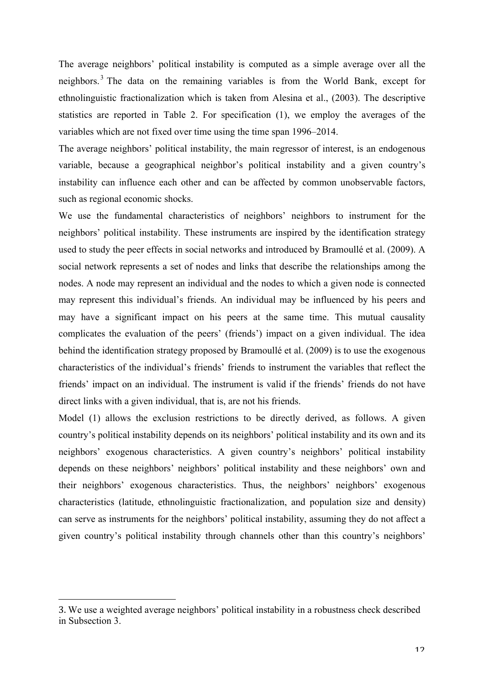The average neighbors' political instability is computed as a simple average over all the neighbors. <sup>3</sup> The data on the remaining variables is from the World Bank, except for ethnolinguistic fractionalization which is taken from Alesina et al., (2003). The descriptive statistics are reported in Table 2. For specification (1), we employ the averages of the variables which are not fixed over time using the time span 1996–2014.

The average neighbors' political instability, the main regressor of interest, is an endogenous variable, because a geographical neighbor's political instability and a given country's instability can influence each other and can be affected by common unobservable factors, such as regional economic shocks.

We use the fundamental characteristics of neighbors' neighbors to instrument for the neighbors' political instability. These instruments are inspired by the identification strategy used to study the peer effects in social networks and introduced by Bramoullé et al. (2009). A social network represents a set of nodes and links that describe the relationships among the nodes. A node may represent an individual and the nodes to which a given node is connected may represent this individual's friends. An individual may be influenced by his peers and may have a significant impact on his peers at the same time. This mutual causality complicates the evaluation of the peers' (friends') impact on a given individual. The idea behind the identification strategy proposed by Bramoullé et al. (2009) is to use the exogenous characteristics of the individual's friends' friends to instrument the variables that reflect the friends' impact on an individual. The instrument is valid if the friends' friends do not have direct links with a given individual, that is, are not his friends.

Model (1) allows the exclusion restrictions to be directly derived, as follows. A given country's political instability depends on its neighbors' political instability and its own and its neighbors' exogenous characteristics. A given country's neighbors' political instability depends on these neighbors' neighbors' political instability and these neighbors' own and their neighbors' exogenous characteristics. Thus, the neighbors' neighbors' exogenous characteristics (latitude, ethnolinguistic fractionalization, and population size and density) can serve as instruments for the neighbors' political instability, assuming they do not affect a given country's political instability through channels other than this country's neighbors'

<sup>3.</sup> We use a weighted average neighbors' political instability in a robustness check described in Subsection 3.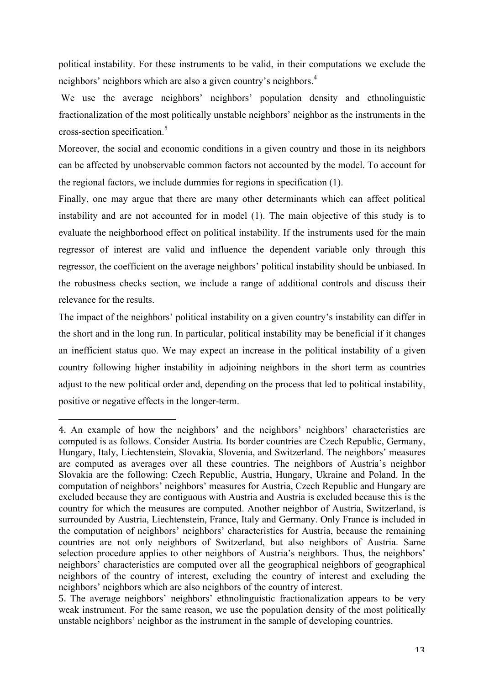political instability. For these instruments to be valid, in their computations we exclude the neighbors' neighbors which are also a given country's neighbors.<sup>4</sup>

We use the average neighbors' neighbors' population density and ethnolinguistic fractionalization of the most politically unstable neighbors' neighbor as the instruments in the cross-section specification. 5

Moreover, the social and economic conditions in a given country and those in its neighbors can be affected by unobservable common factors not accounted by the model. To account for the regional factors, we include dummies for regions in specification (1).

Finally, one may argue that there are many other determinants which can affect political instability and are not accounted for in model (1). The main objective of this study is to evaluate the neighborhood effect on political instability. If the instruments used for the main regressor of interest are valid and influence the dependent variable only through this regressor, the coefficient on the average neighbors' political instability should be unbiased. In the robustness checks section, we include a range of additional controls and discuss their relevance for the results.

The impact of the neighbors' political instability on a given country's instability can differ in the short and in the long run. In particular, political instability may be beneficial if it changes an inefficient status quo. We may expect an increase in the political instability of a given country following higher instability in adjoining neighbors in the short term as countries adjust to the new political order and, depending on the process that led to political instability, positive or negative effects in the longer-term.

<sup>4.</sup>  An example of how the neighbors' and the neighbors' neighbors' characteristics are computed is as follows. Consider Austria. Its border countries are Czech Republic, Germany, Hungary, Italy, Liechtenstein, Slovakia, Slovenia, and Switzerland. The neighbors' measures are computed as averages over all these countries. The neighbors of Austria's neighbor Slovakia are the following: Czech Republic, Austria, Hungary, Ukraine and Poland. In the computation of neighbors' neighbors' measures for Austria, Czech Republic and Hungary are excluded because they are contiguous with Austria and Austria is excluded because this is the country for which the measures are computed. Another neighbor of Austria, Switzerland, is surrounded by Austria, Liechtenstein, France, Italy and Germany. Only France is included in the computation of neighbors' neighbors' characteristics for Austria, because the remaining countries are not only neighbors of Switzerland, but also neighbors of Austria. Same selection procedure applies to other neighbors of Austria's neighbors. Thus, the neighbors' neighbors' characteristics are computed over all the geographical neighbors of geographical neighbors of the country of interest, excluding the country of interest and excluding the neighbors' neighbors which are also neighbors of the country of interest.

<sup>5.</sup>  The average neighbors' neighbors' ethnolinguistic fractionalization appears to be very weak instrument. For the same reason, we use the population density of the most politically unstable neighbors' neighbor as the instrument in the sample of developing countries.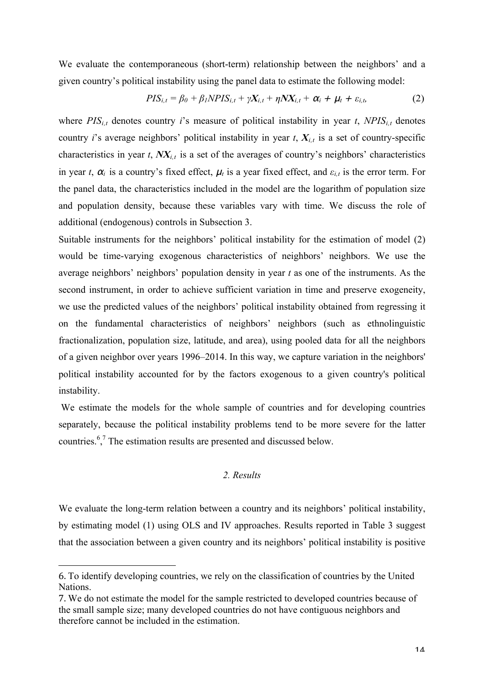We evaluate the contemporaneous (short-term) relationship between the neighbors' and a given country's political instability using the panel data to estimate the following model:

$$
PIS_{i,t} = \beta_0 + \beta_1 NPIS_{i,t} + \gamma X_{i,t} + \eta N X_{i,t} + \alpha_i + \mu_t + \varepsilon_{i,t},
$$
\n(2)

where  $PIS_{i,t}$  denotes country *i*'s measure of political instability in year *t*,  $NPIS_{i,t}$  denotes country *i*'s average neighbors' political instability in year *t*,  $X_{i,t}$  is a set of country-specific characteristics in year  $t$ ,  $N X_{i,t}$  is a set of the averages of country's neighbors' characteristics in year *t*,  $\alpha_i$  is a country's fixed effect,  $\mu_t$  is a year fixed effect, and  $\varepsilon_{i,t}$  is the error term. For the panel data, the characteristics included in the model are the logarithm of population size and population density, because these variables vary with time. We discuss the role of additional (endogenous) controls in Subsection 3.

Suitable instruments for the neighbors' political instability for the estimation of model (2) would be time-varying exogenous characteristics of neighbors' neighbors. We use the average neighbors' neighbors' population density in year *t* as one of the instruments. As the second instrument, in order to achieve sufficient variation in time and preserve exogeneity, we use the predicted values of the neighbors' political instability obtained from regressing it on the fundamental characteristics of neighbors' neighbors (such as ethnolinguistic fractionalization, population size, latitude, and area), using pooled data for all the neighbors of a given neighbor over years 1996–2014. In this way, we capture variation in the neighbors' political instability accounted for by the factors exogenous to a given country's political instability.

We estimate the models for the whole sample of countries and for developing countries separately, because the political instability problems tend to be more severe for the latter countries.<sup>6,7</sup> The estimation results are presented and discussed below.

### *2. Results*

We evaluate the long-term relation between a country and its neighbors' political instability, by estimating model (1) using OLS and IV approaches. Results reported in Table 3 suggest that the association between a given country and its neighbors' political instability is positive

<sup>6.</sup> To identify developing countries, we rely on the classification of countries by the United Nations.

<sup>7.</sup> We do not estimate the model for the sample restricted to developed countries because of the small sample size; many developed countries do not have contiguous neighbors and therefore cannot be included in the estimation.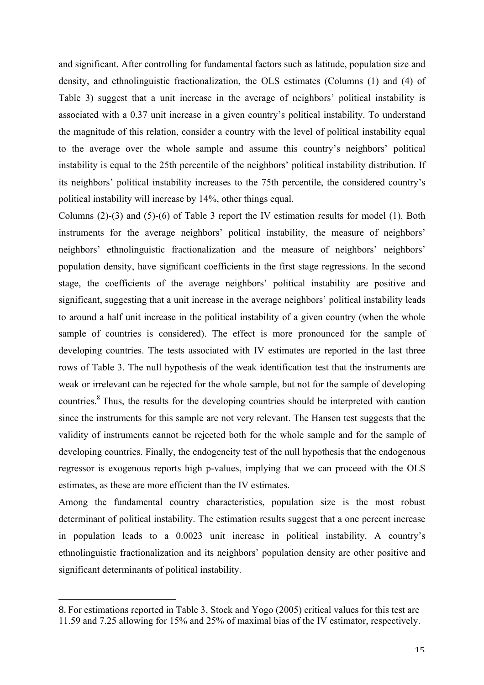and significant. After controlling for fundamental factors such as latitude, population size and density, and ethnolinguistic fractionalization, the OLS estimates (Columns (1) and (4) of Table 3) suggest that a unit increase in the average of neighbors' political instability is associated with a 0.37 unit increase in a given country's political instability. To understand the magnitude of this relation, consider a country with the level of political instability equal to the average over the whole sample and assume this country's neighbors' political instability is equal to the 25th percentile of the neighbors' political instability distribution. If its neighbors' political instability increases to the 75th percentile, the considered country's political instability will increase by 14%, other things equal.

Columns (2)-(3) and (5)-(6) of Table 3 report the IV estimation results for model (1). Both instruments for the average neighbors' political instability, the measure of neighbors' neighbors' ethnolinguistic fractionalization and the measure of neighbors' neighbors' population density, have significant coefficients in the first stage regressions. In the second stage, the coefficients of the average neighbors' political instability are positive and significant, suggesting that a unit increase in the average neighbors' political instability leads to around a half unit increase in the political instability of a given country (when the whole sample of countries is considered). The effect is more pronounced for the sample of developing countries. The tests associated with IV estimates are reported in the last three rows of Table 3. The null hypothesis of the weak identification test that the instruments are weak or irrelevant can be rejected for the whole sample, but not for the sample of developing countries.<sup>8</sup> Thus, the results for the developing countries should be interpreted with caution since the instruments for this sample are not very relevant. The Hansen test suggests that the validity of instruments cannot be rejected both for the whole sample and for the sample of developing countries. Finally, the endogeneity test of the null hypothesis that the endogenous regressor is exogenous reports high p-values, implying that we can proceed with the OLS estimates, as these are more efficient than the IV estimates.

Among the fundamental country characteristics, population size is the most robust determinant of political instability. The estimation results suggest that a one percent increase in population leads to a 0.0023 unit increase in political instability. A country's ethnolinguistic fractionalization and its neighbors' population density are other positive and significant determinants of political instability.

<sup>8.</sup> For estimations reported in Table 3, Stock and Yogo (2005) critical values for this test are 11.59 and 7.25 allowing for 15% and 25% of maximal bias of the IV estimator, respectively.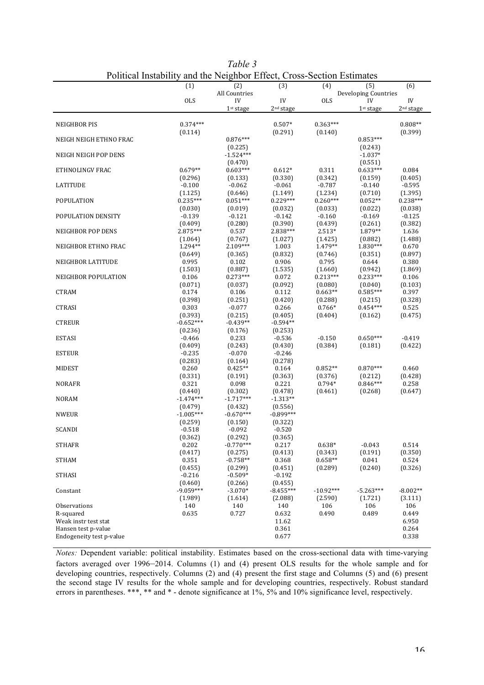| I United Histability and the ineighbor Effect, Cross-Section Estimates |                     | (2)                   | (3)                   | (4)                 | (5)                               | (6)                   |
|------------------------------------------------------------------------|---------------------|-----------------------|-----------------------|---------------------|-----------------------------------|-----------------------|
|                                                                        | (1)                 | All Countries         |                       |                     |                                   |                       |
|                                                                        | <b>OLS</b>          | IV                    | IV                    | <b>OLS</b>          | <b>Developing Countries</b><br>IV | IV                    |
|                                                                        |                     | 1 <sup>st</sup> stage | 2 <sup>nd</sup> stage |                     | 1 <sup>st</sup> stage             | 2 <sup>nd</sup> stage |
|                                                                        |                     |                       |                       |                     |                                   |                       |
| NEIGHBOR PIS                                                           | $0.374***$          |                       | $0.507*$              | $0.363***$          |                                   | $0.808**$             |
|                                                                        | (0.114)             |                       | (0.291)               | (0.140)             |                                   | (0.399)               |
| NEIGH NEIGH ETHNO FRAC                                                 |                     | $0.876***$            |                       |                     | $0.853***$                        |                       |
|                                                                        |                     | (0.225)               |                       |                     | (0.243)                           |                       |
| NEIGH NEIGH POP DENS                                                   |                     | $-1.524***$           |                       |                     | $-1.037*$                         |                       |
|                                                                        |                     | (0.470)               |                       |                     | (0.551)                           |                       |
| ETHNOLINGV FRAC                                                        | $0.679**$           | $0.603***$            | $0.612*$              | 0.311               | $0.633***$                        | 0.084                 |
|                                                                        | (0.296)             | (0.133)               | (0.330)               | (0.342)             | (0.159)                           | (0.405)               |
| <b>LATITUDE</b>                                                        | $-0.100$            | $-0.062$              | $-0.061$              | $-0.787$            | $-0.140$                          | $-0.595$              |
|                                                                        | (1.125)             | (0.646)               | (1.149)               | (1.234)             | (0.710)                           | (1.395)               |
| POPULATION                                                             | $0.235***$          | $0.051***$            | $0.229***$            | $0.260***$          | $0.052**$                         | $0.238***$            |
|                                                                        | (0.030)             | (0.019)               | (0.032)               | (0.033)             | (0.022)                           | (0.038)               |
| POPULATION DENSITY                                                     | $-0.139$            | $-0.121$              | $-0.142$              | $-0.160$            | $-0.169$                          | $-0.125$              |
| NEIGHBOR POP DENS                                                      | (0.409)<br>2.875*** | (0.280)<br>0.537      | (0.390)<br>2.838***   | (0.439)<br>$2.513*$ | (0.261)<br>1.879**                | (0.382)<br>1.636      |
|                                                                        | (1.064)             | (0.767)               | (1.027)               | (1.425)             | (0.882)                           | (1.488)               |
| NEIGHBOR ETHNO FRAC                                                    | 1.294**             | 2.109***              | 1.003                 | 1.479**             | 1.830***                          | 0.670                 |
|                                                                        | (0.649)             | (0.365)               | (0.832)               | (0.746)             | (0.351)                           | (0.897)               |
| NEIGHBOR LATITUDE                                                      | 0.995               | 0.102                 | 0.906                 | 0.795               | 0.644                             | 0.380                 |
|                                                                        | (1.503)             | (0.887)               | (1.535)               | (1.660)             | (0.942)                           | (1.869)               |
| <b>NEIGHBOR POPULATION</b>                                             | 0.106               | $0.273***$            | 0.072                 | $0.213***$          | $0.233***$                        | 0.106                 |
|                                                                        | (0.071)             | (0.037)               | (0.092)               | (0.080)             | (0.040)                           | (0.103)               |
| <b>CTRAM</b>                                                           | 0.174               | 0.106                 | 0.112                 | $0.663**$           | $0.585***$                        | 0.397                 |
|                                                                        | (0.398)             | (0.251)               | (0.420)               | (0.288)             | (0.215)                           | (0.328)               |
| <b>CTRASI</b>                                                          | 0.303               | $-0.077$              | 0.266                 | $0.766*$            | $0.454***$                        | 0.525                 |
|                                                                        | (0.393)             | (0.215)               | (0.405)               | (0.404)             | (0.162)                           | (0.475)               |
| <b>CTREUR</b>                                                          | $-0.652***$         | $-0.439**$            | $-0.594**$            |                     |                                   |                       |
|                                                                        | (0.236)             | (0.176)               | (0.253)               |                     |                                   |                       |
| <b>ESTASI</b>                                                          | $-0.466$            | 0.233                 | $-0.536$              | $-0.150$            | $0.650***$                        | $-0.419$              |
|                                                                        | (0.409)             | (0.243)               | (0.430)               | (0.384)             | (0.181)                           | (0.422)               |
| <b>ESTEUR</b>                                                          | $-0.235$            | $-0.070$              | $-0.246$              |                     |                                   |                       |
|                                                                        | (0.283)             | (0.164)               | (0.278)               |                     |                                   |                       |
| MIDEST                                                                 | 0.260               | $0.425**$             | 0.164                 | $0.852**$           | $0.870***$                        | 0.460                 |
| <b>NORAFR</b>                                                          | (0.331)<br>0.321    | (0.191)<br>0.098      | (0.363)<br>0.221      | (0.376)<br>$0.794*$ | (0.212)<br>$0.846***$             | (0.428)<br>0.258      |
|                                                                        | (0.440)             | (0.302)               | (0.478)               | (0.461)             | (0.268)                           | (0.647)               |
| <b>NORAM</b>                                                           | $-1.474***$         | $-1.717***$           | $-1.313**$            |                     |                                   |                       |
|                                                                        | (0.479)             | (0.432)               | (0.556)               |                     |                                   |                       |
| <b>NWEUR</b>                                                           | $-1.005***$         | $-0.670***$           | $-0.899***$           |                     |                                   |                       |
|                                                                        | (0.259)             | (0.150)               | (0.322)               |                     |                                   |                       |
| <b>SCANDI</b>                                                          | $-0.518$            | $-0.092$              | $-0.520$              |                     |                                   |                       |
|                                                                        | (0.362)             | (0.292)               | (0.365)               |                     |                                   |                       |
| <b>STHAFR</b>                                                          | 0.202               | $-0.770***$           | 0.217                 | $0.638*$            | $-0.043$                          | 0.514                 |
|                                                                        | (0.417)             | (0.275)               | (0.413)               | (0.343)             | (0.191)                           | (0.350)               |
| <b>STHAM</b>                                                           | 0.351               | $-0.758**$            | 0.368                 | $0.658**$           | 0.041                             | 0.524                 |
|                                                                        | (0.455)             | (0.299)               | (0.451)               | (0.289)             | (0.240)                           | (0.326)               |
| <b>STHASI</b>                                                          | $-0.216$            | $-0.509*$             | $-0.192$              |                     |                                   |                       |
|                                                                        | (0.460)             | (0.266)               | (0.455)               |                     |                                   |                       |
| Constant                                                               | $-9.059***$         | $-3.070*$             | $-8.455***$           | $-10.92***$         | $-5.263***$                       | $-8.002**$            |
| Observations                                                           | (1.989)             | (1.614)               | (2.088)               | (2.590)             | (1.721)                           | (3.111)               |
| R-squared                                                              | 140<br>0.635        | 140<br>0.727          | 140<br>0.632          | 106<br>0.490        | 106<br>0.489                      | 106<br>0.449          |
| Weak instr test stat                                                   |                     |                       | 11.62                 |                     |                                   | 6.950                 |
| Hansen test p-value                                                    |                     |                       | 0.361                 |                     |                                   | 0.264                 |
| Endogeneity test p-value                                               |                     |                       | 0.677                 |                     |                                   | 0.338                 |
|                                                                        |                     |                       |                       |                     |                                   |                       |

*Table 3* Political Instability and the Neighbor Effect, Cross-Section Estimates

*Notes:* Dependent variable: political instability. Estimates based on the cross-sectional data with time-varying factors averaged over 1996–2014. Columns (1) and (4) present OLS results for the whole sample and for developing countries, respectively. Columns (2) and (4) present the first stage and Columns (5) and (6) present the second stage IV results for the whole sample and for developing countries, respectively. Robust standard errors in parentheses. \*\*\*, \*\* and \* - denote significance at 1%, 5% and 10% significance level, respectively.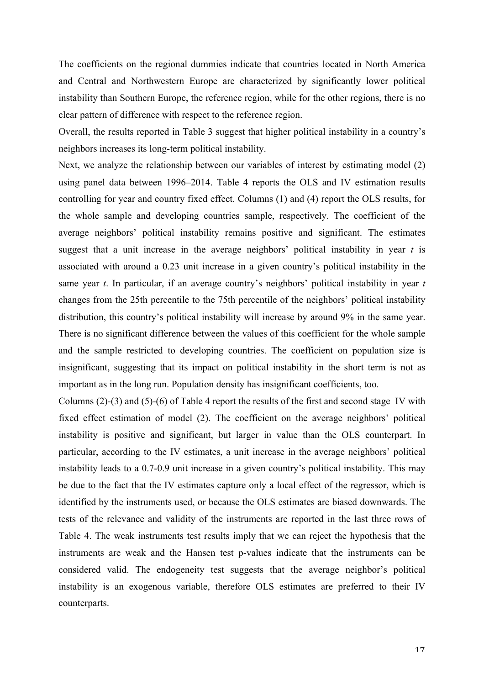The coefficients on the regional dummies indicate that countries located in North America and Central and Northwestern Europe are characterized by significantly lower political instability than Southern Europe, the reference region, while for the other regions, there is no clear pattern of difference with respect to the reference region.

Overall, the results reported in Table 3 suggest that higher political instability in a country's neighbors increases its long-term political instability.

Next, we analyze the relationship between our variables of interest by estimating model (2) using panel data between 1996–2014. Table 4 reports the OLS and IV estimation results controlling for year and country fixed effect. Columns (1) and (4) report the OLS results, for the whole sample and developing countries sample, respectively. The coefficient of the average neighbors' political instability remains positive and significant. The estimates suggest that a unit increase in the average neighbors' political instability in year *t* is associated with around a 0.23 unit increase in a given country's political instability in the same year *t*. In particular, if an average country's neighbors' political instability in year *t* changes from the 25th percentile to the 75th percentile of the neighbors' political instability distribution, this country's political instability will increase by around 9% in the same year. There is no significant difference between the values of this coefficient for the whole sample and the sample restricted to developing countries. The coefficient on population size is insignificant, suggesting that its impact on political instability in the short term is not as important as in the long run. Population density has insignificant coefficients, too.

Columns (2)-(3) and (5)-(6) of Table 4 report the results of the first and second stage IV with fixed effect estimation of model (2). The coefficient on the average neighbors' political instability is positive and significant, but larger in value than the OLS counterpart. In particular, according to the IV estimates, a unit increase in the average neighbors' political instability leads to a 0.7-0.9 unit increase in a given country's political instability. This may be due to the fact that the IV estimates capture only a local effect of the regressor, which is identified by the instruments used, or because the OLS estimates are biased downwards. The tests of the relevance and validity of the instruments are reported in the last three rows of Table 4. The weak instruments test results imply that we can reject the hypothesis that the instruments are weak and the Hansen test p-values indicate that the instruments can be considered valid. The endogeneity test suggests that the average neighbor's political instability is an exogenous variable, therefore OLS estimates are preferred to their IV counterparts.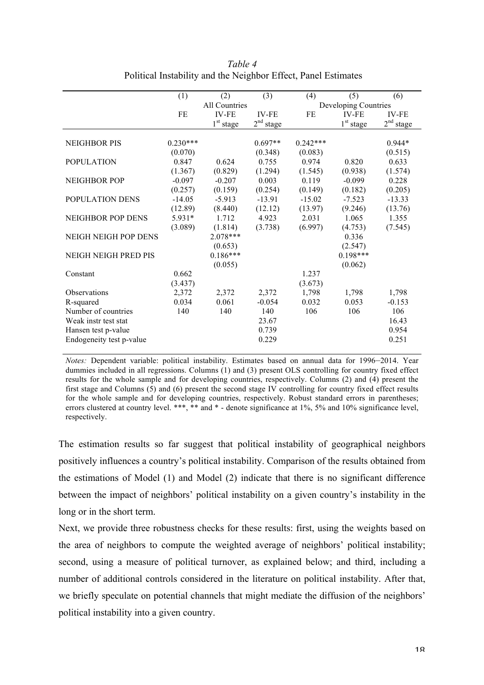|                          | (1)        | (2)           | (3)                   | (4)        | (5)                  | (6)                      |
|--------------------------|------------|---------------|-----------------------|------------|----------------------|--------------------------|
|                          |            | All Countries |                       |            | Developing Countries |                          |
|                          | <b>FE</b>  | <b>IV-FE</b>  | <b>IV-FE</b>          | <b>FE</b>  | <b>IV-FE</b>         | <b>IV-FE</b>             |
|                          |            | $1st$ stage   | 2 <sup>nd</sup> stage |            | $1st$ stage          | 2 <sup>nd</sup><br>stage |
|                          |            |               |                       |            |                      |                          |
| <b>NEIGHBOR PIS</b>      | $0.230***$ |               | $0.697**$             | $0.242***$ |                      | $0.944*$                 |
|                          | (0.070)    |               | (0.348)               | (0.083)    |                      | (0.515)                  |
| <b>POPULATION</b>        | 0.847      | 0.624         | 0.755                 | 0.974      | 0.820                | 0.633                    |
|                          | (1.367)    | (0.829)       | (1.294)               | (1.545)    | (0.938)              | (1.574)                  |
| <b>NEIGHBOR POP</b>      | $-0.097$   | $-0.207$      | 0.003                 | 0.119      | $-0.099$             | 0.228                    |
|                          | (0.257)    | (0.159)       | (0.254)               | (0.149)    | (0.182)              | (0.205)                  |
| POPULATION DENS          | $-14.05$   | $-5.913$      | $-13.91$              | $-15.02$   | $-7.523$             | $-13.33$                 |
|                          | (12.89)    | (8.440)       | (12.12)               | (13.97)    | (9.246)              | (13.76)                  |
| <b>NEIGHBOR POP DENS</b> | 5.931*     | 1.712         | 4.923                 | 2.031      | 1.065                | 1.355                    |
|                          | (3.089)    | (1.814)       | (3.738)               | (6.997)    | (4.753)              | (7.545)                  |
| NEIGH NEIGH POP DENS     |            | $2.078***$    |                       |            | 0.336                |                          |
|                          |            | (0.653)       |                       |            | (2.547)              |                          |
| NEIGH NEIGH PRED PIS     |            | $0.186***$    |                       |            | $0.198***$           |                          |
|                          |            | (0.055)       |                       |            | (0.062)              |                          |
| Constant                 | 0.662      |               |                       | 1.237      |                      |                          |
|                          | (3.437)    |               |                       | (3.673)    |                      |                          |
| <b>Observations</b>      | 2,372      | 2,372         | 2,372                 | 1,798      | 1,798                | 1,798                    |
| R-squared                | 0.034      | 0.061         | $-0.054$              | 0.032      | 0.053                | $-0.153$                 |
| Number of countries      | 140        | 140           | 140                   | 106        | 106                  | 106                      |
| Weak instr test stat     |            |               | 23.67                 |            |                      | 16.43                    |
|                          |            |               | 0.739                 |            |                      | 0.954                    |
| Hansen test p-value      |            |               | 0.229                 |            |                      | 0.251                    |
| Endogeneity test p-value |            |               |                       |            |                      |                          |

*Table 4* Political Instability and the Neighbor Effect, Panel Estimates

*Notes:* Dependent variable: political instability. Estimates based on annual data for 1996–2014. Year dummies included in all regressions. Columns (1) and (3) present OLS controlling for country fixed effect results for the whole sample and for developing countries, respectively. Columns (2) and (4) present the first stage and Columns (5) and (6) present the second stage IV controlling for country fixed effect results for the whole sample and for developing countries, respectively. Robust standard errors in parentheses; errors clustered at country level. \*\*\*, \*\* and \* - denote significance at 1%, 5% and 10% significance level, respectively.

The estimation results so far suggest that political instability of geographical neighbors positively influences a country's political instability. Comparison of the results obtained from the estimations of Model (1) and Model (2) indicate that there is no significant difference between the impact of neighbors' political instability on a given country's instability in the long or in the short term.

Next, we provide three robustness checks for these results: first, using the weights based on the area of neighbors to compute the weighted average of neighbors' political instability; second, using a measure of political turnover, as explained below; and third, including a number of additional controls considered in the literature on political instability. After that, we briefly speculate on potential channels that might mediate the diffusion of the neighbors' political instability into a given country.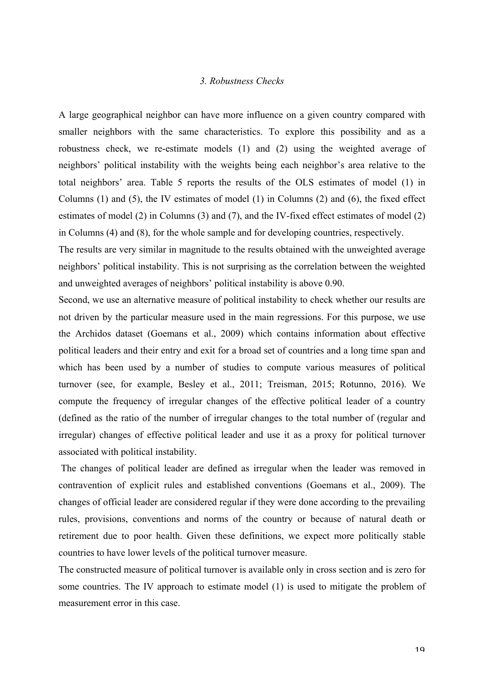#### *3. Robustness Checks*

A large geographical neighbor can have more influence on a given country compared with smaller neighbors with the same characteristics. To explore this possibility and as a robustness check, we re-estimate models (1) and (2) using the weighted average of neighbors' political instability with the weights being each neighbor's area relative to the total neighbors' area. Table 5 reports the results of the OLS estimates of model (1) in Columns (1) and (5), the IV estimates of model (1) in Columns (2) and (6), the fixed effect estimates of model (2) in Columns (3) and (7), and the IV-fixed effect estimates of model (2) in Columns (4) and (8), for the whole sample and for developing countries, respectively.

The results are very similar in magnitude to the results obtained with the unweighted average neighbors' political instability. This is not surprising as the correlation between the weighted and unweighted averages of neighbors' political instability is above 0.90.

Second, we use an alternative measure of political instability to check whether our results are not driven by the particular measure used in the main regressions. For this purpose, we use the Archidos dataset (Goemans et al., 2009) which contains information about effective political leaders and their entry and exit for a broad set of countries and a long time span and which has been used by a number of studies to compute various measures of political turnover (see, for example, Besley et al., 2011; Treisman, 2015; Rotunno, 2016). We compute the frequency of irregular changes of the effective political leader of a country (defined as the ratio of the number of irregular changes to the total number of (regular and irregular) changes of effective political leader and use it as a proxy for political turnover associated with political instability.

The changes of political leader are defined as irregular when the leader was removed in contravention of explicit rules and established conventions (Goemans et al., 2009). The changes of official leader are considered regular if they were done according to the prevailing rules, provisions, conventions and norms of the country or because of natural death or retirement due to poor health. Given these definitions, we expect more politically stable countries to have lower levels of the political turnover measure.

The constructed measure of political turnover is available only in cross section and is zero for some countries. The IV approach to estimate model (1) is used to mitigate the problem of measurement error in this case.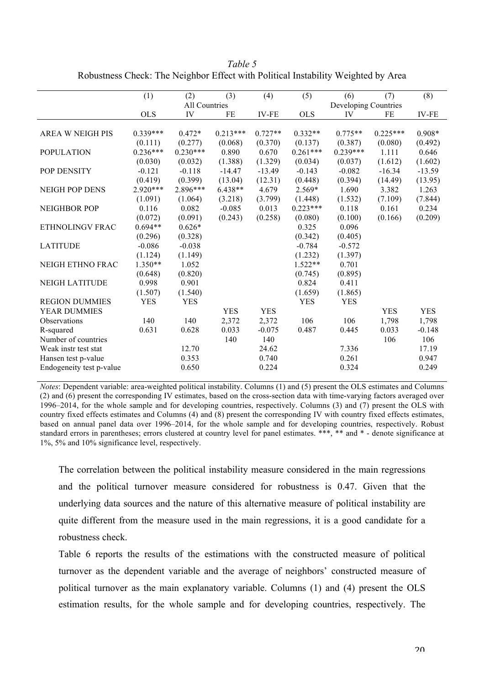|                          | (1)        | (2)           | (3)        | (4)          | (5)        | (6)<br>Developing Countries | (7)        | (8)          |
|--------------------------|------------|---------------|------------|--------------|------------|-----------------------------|------------|--------------|
|                          |            | All Countries |            |              |            |                             |            |              |
|                          | <b>OLS</b> | IV            | FE         | <b>IV-FE</b> | <b>OLS</b> | IV                          | FE         | <b>IV-FE</b> |
|                          |            |               |            |              |            |                             |            |              |
| <b>AREA W NEIGH PIS</b>  | $0.339***$ | $0.472*$      | $0.213***$ | $0.727**$    | $0.332**$  | $0.775**$                   | $0.225***$ | $0.908*$     |
|                          | (0.111)    | (0.277)       | (0.068)    | (0.370)      | (0.137)    | (0.387)                     | (0.080)    | (0.492)      |
| <b>POPULATION</b>        | $0.236***$ | $0.230***$    | 0.890      | 0.670        | $0.261***$ | $0.239***$                  | 1.111      | 0.646        |
|                          | (0.030)    | (0.032)       | (1.388)    | (1.329)      | (0.034)    | (0.037)                     | (1.612)    | (1.602)      |
| POP DENSITY              | $-0.121$   | $-0.118$      | $-14.47$   | $-13.49$     | $-0.143$   | $-0.082$                    | $-16.34$   | $-13.59$     |
|                          | (0.419)    | (0.399)       | (13.04)    | (12.31)      | (0.448)    | (0.394)                     | (14.49)    | (13.95)      |
| <b>NEIGH POP DENS</b>    | $2.920***$ | 2.896***      | $6.438**$  | 4.679        | 2.569*     | 1.690                       | 3.382      | 1.263        |
|                          | (1.091)    | (1.064)       | (3.218)    | (3.799)      | (1.448)    | (1.532)                     | (7.109)    | (7.844)      |
| <b>NEIGHBOR POP</b>      | 0.116      | 0.082         | $-0.085$   | 0.013        | $0.223***$ | 0.118                       | 0.161      | 0.234        |
|                          | (0.072)    | (0.091)       | (0.243)    | (0.258)      | (0.080)    | (0.100)                     | (0.166)    | (0.209)      |
| ETHNOLINGV FRAC          | $0.694**$  | $0.626*$      |            |              | 0.325      | 0.096                       |            |              |
|                          | (0.296)    | (0.328)       |            |              | (0.342)    | (0.405)                     |            |              |
| <b>LATITUDE</b>          | $-0.086$   | $-0.038$      |            |              | $-0.784$   | $-0.572$                    |            |              |
|                          | (1.124)    | (1.149)       |            |              | (1.232)    | (1.397)                     |            |              |
| NEIGH ETHNO FRAC         | $1.350**$  | 1.052         |            |              | $1.522**$  | 0.701                       |            |              |
|                          | (0.648)    | (0.820)       |            |              | (0.745)    | (0.895)                     |            |              |
| <b>NEIGH LATITUDE</b>    | 0.998      | 0.901         |            |              | 0.824      | 0.411                       |            |              |
|                          | (1.507)    | (1.540)       |            |              | (1.659)    | (1.865)                     |            |              |
| <b>REGION DUMMIES</b>    | <b>YES</b> | <b>YES</b>    |            |              | <b>YES</b> | <b>YES</b>                  |            |              |
| <b>YEAR DUMMIES</b>      |            |               | <b>YES</b> | <b>YES</b>   |            |                             | <b>YES</b> | <b>YES</b>   |
| Observations             | 140        | 140           | 2,372      | 2,372        | 106        | 106                         | 1,798      | 1,798        |
| R-squared                | 0.631      | 0.628         | 0.033      | $-0.075$     | 0.487      | 0.445                       | 0.033      | $-0.148$     |
| Number of countries      |            |               | 140        | 140          |            |                             | 106        | 106          |
| Weak instr test stat     |            | 12.70         |            | 24.62        |            | 7.336                       |            | 17.19        |
| Hansen test p-value      |            | 0.353         |            | 0.740        |            | 0.261                       |            | 0.947        |
| Endogeneity test p-value |            | 0.650         |            | 0.224        |            | 0.324                       |            | 0.249        |
|                          |            |               |            |              |            |                             |            |              |

*Table 5* Robustness Check: The Neighbor Effect with Political Instability Weighted by Area

*Notes*: Dependent variable: area-weighted political instability. Columns (1) and (5) present the OLS estimates and Columns (2) and (6) present the corresponding IV estimates, based on the cross-section data with time-varying factors averaged over 1996–2014, for the whole sample and for developing countries, respectively. Columns (3) and (7) present the OLS with country fixed effects estimates and Columns (4) and (8) present the corresponding IV with country fixed effects estimates, based on annual panel data over 1996–2014, for the whole sample and for developing countries, respectively. Robust standard errors in parentheses; errors clustered at country level for panel estimates. \*\*\*, \*\* and \* - denote significance at 1%, 5% and 10% significance level, respectively.

The correlation between the political instability measure considered in the main regressions and the political turnover measure considered for robustness is 0.47. Given that the underlying data sources and the nature of this alternative measure of political instability are quite different from the measure used in the main regressions, it is a good candidate for a robustness check.

Table 6 reports the results of the estimations with the constructed measure of political turnover as the dependent variable and the average of neighbors' constructed measure of political turnover as the main explanatory variable. Columns (1) and (4) present the OLS estimation results, for the whole sample and for developing countries, respectively. The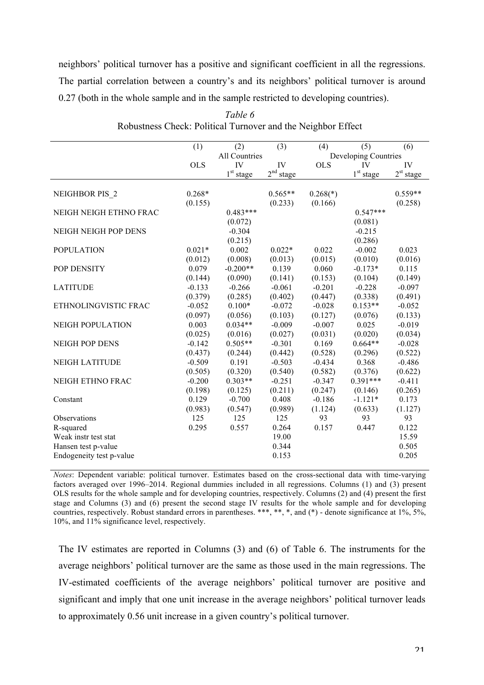neighbors' political turnover has a positive and significant coefficient in all the regressions. The partial correlation between a country's and its neighbors' political turnover is around 0.27 (both in the whole sample and in the sample restricted to developing countries).

|                          | (1)        | (2)           | (3)                      | (4)        | (5)                   | (6)                   |
|--------------------------|------------|---------------|--------------------------|------------|-----------------------|-----------------------|
|                          |            | All Countries |                          |            | Developing Countries  |                       |
|                          | <b>OLS</b> | IV            | IV                       | <b>OLS</b> | IV                    | IV                    |
|                          |            | $1st$ stage   | 2 <sup>nd</sup><br>stage |            | 1 <sup>st</sup> stage | $2^{\text{st}}$ stage |
|                          |            |               |                          |            |                       |                       |
| <b>NEIGHBOR PIS 2</b>    | $0.268*$   |               | $0.565**$                | $0.268(*)$ |                       | $0.559**$             |
|                          | (0.155)    |               | (0.233)                  | (0.166)    |                       | (0.258)               |
| NEIGH NEIGH ETHNO FRAC   |            | $0.483***$    |                          |            | $0.547***$            |                       |
|                          |            | (0.072)       |                          |            | (0.081)               |                       |
| NEIGH NEIGH POP DENS     |            | $-0.304$      |                          |            | $-0.215$              |                       |
|                          |            | (0.215)       |                          |            | (0.286)               |                       |
| <b>POPULATION</b>        | $0.021*$   | 0.002         | $0.022*$                 | 0.022      | $-0.002$              | 0.023                 |
|                          | (0.012)    | (0.008)       | (0.013)                  | (0.015)    | (0.010)               | (0.016)               |
| POP DENSITY              | 0.079      | $-0.200**$    | 0.139                    | 0.060      | $-0.173*$             | 0.115                 |
|                          | (0.144)    | (0.090)       | (0.141)                  | (0.153)    | (0.104)               | (0.149)               |
| <b>LATITUDE</b>          | $-0.133$   | $-0.266$      | $-0.061$                 | $-0.201$   | $-0.228$              | $-0.097$              |
|                          | (0.379)    | (0.285)       | (0.402)                  | (0.447)    | (0.338)               | (0.491)               |
| ETHNOLINGVISTIC FRAC     | $-0.052$   | $0.100*$      | $-0.072$                 | $-0.028$   | $0.153**$             | $-0.052$              |
|                          | (0.097)    | (0.056)       | (0.103)                  | (0.127)    | (0.076)               | (0.133)               |
| <b>NEIGH POPULATION</b>  | 0.003      | $0.034**$     | $-0.009$                 | $-0.007$   | 0.025                 | $-0.019$              |
|                          | (0.025)    | (0.016)       | (0.027)                  | (0.031)    | (0.020)               | (0.034)               |
| NEIGH POP DENS           | $-0.142$   | $0.505**$     | $-0.301$                 | 0.169      | $0.664**$             | $-0.028$              |
|                          | (0.437)    | (0.244)       | (0.442)                  | (0.528)    | (0.296)               | (0.522)               |
| <b>NEIGH LATITUDE</b>    | $-0.509$   | 0.191         | $-0.503$                 | $-0.434$   | 0.368                 | $-0.486$              |
|                          | (0.505)    | (0.320)       | (0.540)                  | (0.582)    | (0.376)               | (0.622)               |
| NEIGH ETHNO FRAC         | $-0.200$   | $0.303**$     | $-0.251$                 | $-0.347$   | $0.391***$            | $-0.411$              |
|                          | (0.198)    | (0.125)       | (0.211)                  | (0.247)    | (0.146)               | (0.265)               |
| Constant                 | 0.129      | $-0.700$      | 0.408                    | $-0.186$   | $-1.121*$             | 0.173                 |
|                          | (0.983)    | (0.547)       | (0.989)                  | (1.124)    | (0.633)               | (1.127)               |
| <b>Observations</b>      | 125        | 125           | 125                      | 93         | 93                    | 93                    |
| R-squared                | 0.295      | 0.557         | 0.264                    | 0.157      | 0.447                 | 0.122                 |
| Weak instr test stat     |            |               | 19.00                    |            |                       | 15.59                 |
| Hansen test p-value      |            |               | 0.344                    |            |                       | 0.505                 |
| Endogeneity test p-value |            |               | 0.153                    |            |                       | 0.205                 |
|                          |            |               |                          |            |                       |                       |

*Table 6* Robustness Check: Political Turnover and the Neighbor Effect

*Notes*: Dependent variable: political turnover. Estimates based on the cross-sectional data with time-varying factors averaged over 1996–2014. Regional dummies included in all regressions. Columns (1) and (3) present OLS results for the whole sample and for developing countries, respectively. Columns (2) and (4) present the first stage and Columns (3) and (6) present the second stage IV results for the whole sample and for developing countries, respectively. Robust standard errors in parentheses. \*\*\*, \*\*, \*, and (\*) - denote significance at 1%, 5%, 10%, and 11% significance level, respectively.

The IV estimates are reported in Columns (3) and (6) of Table 6. The instruments for the average neighbors' political turnover are the same as those used in the main regressions. The IV-estimated coefficients of the average neighbors' political turnover are positive and significant and imply that one unit increase in the average neighbors' political turnover leads to approximately 0.56 unit increase in a given country's political turnover.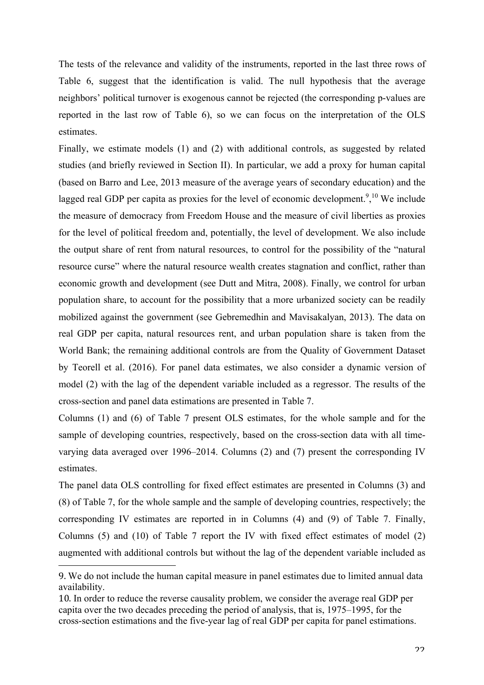The tests of the relevance and validity of the instruments, reported in the last three rows of Table 6, suggest that the identification is valid. The null hypothesis that the average neighbors' political turnover is exogenous cannot be rejected (the corresponding p-values are reported in the last row of Table 6), so we can focus on the interpretation of the OLS estimates.

Finally, we estimate models (1) and (2) with additional controls, as suggested by related studies (and briefly reviewed in Section II). In particular, we add a proxy for human capital (based on Barro and Lee, 2013 measure of the average years of secondary education) and the lagged real GDP per capita as proxies for the level of economic development.<sup>9,10</sup> We include the measure of democracy from Freedom House and the measure of civil liberties as proxies for the level of political freedom and, potentially, the level of development. We also include the output share of rent from natural resources, to control for the possibility of the "natural resource curse" where the natural resource wealth creates stagnation and conflict, rather than economic growth and development (see Dutt and Mitra, 2008). Finally, we control for urban population share, to account for the possibility that a more urbanized society can be readily mobilized against the government (see Gebremedhin and Mavisakalyan, 2013). The data on real GDP per capita, natural resources rent, and urban population share is taken from the World Bank; the remaining additional controls are from the Quality of Government Dataset by Teorell et al. (2016). For panel data estimates, we also consider a dynamic version of model (2) with the lag of the dependent variable included as a regressor. The results of the cross-section and panel data estimations are presented in Table 7.

Columns (1) and (6) of Table 7 present OLS estimates, for the whole sample and for the sample of developing countries, respectively, based on the cross-section data with all timevarying data averaged over 1996–2014. Columns (2) and (7) present the corresponding IV estimates.

The panel data OLS controlling for fixed effect estimates are presented in Columns (3) and (8) of Table 7, for the whole sample and the sample of developing countries, respectively; the corresponding IV estimates are reported in in Columns (4) and (9) of Table 7. Finally, Columns (5) and (10) of Table 7 report the IV with fixed effect estimates of model (2) augmented with additional controls but without the lag of the dependent variable included as

<sup>9.</sup> We do not include the human capital measure in panel estimates due to limited annual data availability.

<sup>10.</sup> In order to reduce the reverse causality problem, we consider the average real GDP per capita over the two decades preceding the period of analysis, that is, 1975–1995, for the cross-section estimations and the five-year lag of real GDP per capita for panel estimations.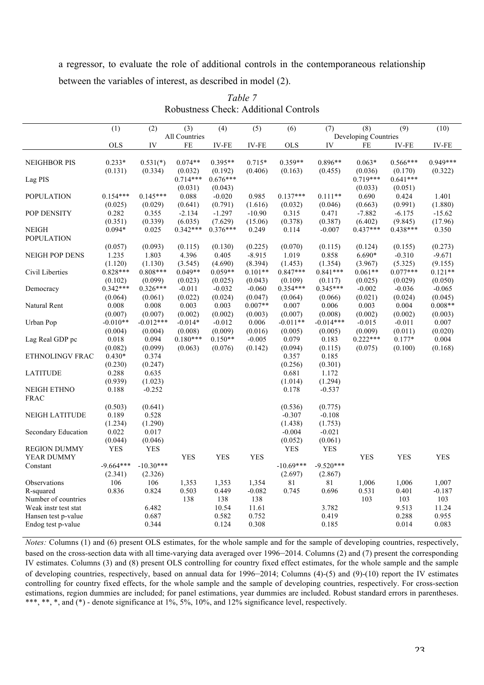a regressor, to evaluate the role of additional controls in the contemporaneous relationship between the variables of interest, as described in model (2).

| All Countries<br>Developing Countries<br><b>OLS</b><br>IV<br>FE<br><b>OLS</b><br>FE<br><b>IV-FE</b><br><b>IV-FE</b><br><b>IV-FE</b><br>IV<br><b>IV-FE</b><br>$0.395**$<br>$0.896**$<br>$0.233*$<br>$0.531(*)$<br>$0.074**$<br>$0.715*$<br>$0.359**$<br>$0.063*$<br>$0.566***$<br>$0.949***$<br><b>NEIGHBOR PIS</b><br>(0.131)<br>(0.334)<br>(0.032)<br>(0.406)<br>(0.163)<br>(0.455)<br>(0.036)<br>(0.322)<br>(0.192)<br>(0.170)<br>$0.714***$<br>$0.676***$<br>$0.719***$<br>$0.641***$<br>Lag PIS<br>(0.031)<br>(0.033)<br>(0.051)<br>(0.043)<br>$0.145***$<br>$0.154***$<br>0.088<br>$-0.020$<br>0.985<br>$0.137***$<br>$0.111**$<br>0.690<br>0.424<br><b>POPULATION</b><br>1.401<br>(0.991)<br>(0.025)<br>(0.029)<br>(0.641)<br>(0.791)<br>(1.616)<br>(0.032)<br>(0.046)<br>(0.663)<br>(1.880)<br>0.282<br>$-1.297$<br>0.315<br>0.471<br>$-7.882$<br>$-6.175$<br>POP DENSITY<br>0.355<br>$-2.134$<br>$-10.90$<br>$-15.62$<br>(0.351)<br>(0.339)<br>(6.035)<br>(7.629)<br>(15.06)<br>(0.378)<br>(0.387)<br>(6.402)<br>(9.845)<br>(17.96)<br>$0.094*$<br>$0.437***$<br>$0.438***$<br><b>NEIGH</b><br>0.025<br>$0.342***$<br>$0.376***$<br>0.249<br>0.114<br>$-0.007$<br>0.350<br><b>POPULATION</b><br>(0.093)<br>(0.225)<br>(0.115)<br>(0.273)<br>(0.057)<br>(0.115)<br>(0.130)<br>(0.070)<br>(0.124)<br>(0.155)<br>NEIGH POP DENS<br>1.235<br>1.803<br>4.396<br>0.405<br>$-8.915$<br>1.019<br>0.858<br>$6.690*$<br>$-0.310$<br>$-9.671$<br>(1.120)<br>(1.130)<br>(3.545)<br>(4.690)<br>(8.394)<br>(1.453)<br>(1.354)<br>(3.967)<br>(5.325)<br>(9.155)<br>$0.828***$<br>$0.808***$<br>$0.049**$<br>$0.059**$<br>$0.101**$<br>$0.847***$<br>$0.841***$<br>$0.077***$<br>$0.121**$<br>$0.061**$<br>Civil Liberties<br>(0.102)<br>(0.099)<br>(0.023)<br>(0.025)<br>(0.043)<br>(0.109)<br>(0.117)<br>(0.025)<br>(0.029)<br>(0.050)<br>$0.342***$<br>$0.326***$<br>$0.354***$<br>$0.345***$<br>$-0.011$<br>$-0.032$<br>$-0.060$<br>$-0.002$<br>$-0.036$<br>$-0.065$<br>Democracy<br>(0.064)<br>(0.022)<br>(0.024)<br>(0.047)<br>(0.021)<br>(0.024)<br>(0.061)<br>(0.064)<br>(0.066)<br>(0.045)<br>$0.007**$<br>0.004<br>$0.008**$<br><b>Natural Rent</b><br>0.008<br>0.008<br>0.003<br>0.003<br>0.007<br>0.006<br>0.003<br>(0.007)<br>(0.007)<br>(0.002)<br>(0.002)<br>(0.003)<br>(0.007)<br>(0.008)<br>(0.002)<br>(0.002)<br>(0.003)<br>$-0.014***$<br>$-0.010**$<br>$-0.012***$<br>$-0.014*$<br>$-0.012$<br>0.006<br>$-0.011**$<br>$-0.015$<br>$-0.011$<br>0.007<br>Urban Pop<br>(0.009)<br>(0.020)<br>(0.004)<br>(0.004)<br>(0.008)<br>(0.016)<br>(0.005)<br>(0.005)<br>(0.009)<br>(0.011)<br>$0.180***$<br>$0.150**$<br>0.079<br>$0.222***$<br>$0.177*$<br>0.004<br>0.018<br>0.094<br>$-0.005$<br>0.183<br>Lag Real GDP pc<br>(0.082)<br>(0.099)<br>(0.115)<br>(0.075)<br>(0.100)<br>(0.168)<br>(0.063)<br>(0.076)<br>(0.142)<br>(0.094)<br>$0.430*$<br>0.374<br>0.185<br>ETHNOLINGV FRAC<br>0.357<br>(0.230)<br>(0.247)<br>(0.256)<br>(0.301)<br>0.288<br>0.635<br>0.681<br><b>LATITUDE</b><br>1.172<br>(0.939)<br>(1.023)<br>(1.014)<br>(1.294)<br><b>NEIGH ETHNO</b><br>0.188<br>$-0.252$<br>0.178<br>$-0.537$<br><b>FRAC</b><br>(0.775)<br>(0.503)<br>(0.641)<br>(0.536)<br><b>NEIGH LATITUDE</b><br>0.189<br>0.528<br>$-0.307$<br>$-0.108$<br>(1.234)<br>(1.290)<br>(1.438)<br>(1.753)<br>0.022<br>Secondary Education<br>0.017<br>$-0.004$<br>$-0.021$<br>(0.044)<br>(0.046)<br>(0.052)<br>(0.061)<br><b>YES</b><br><b>REGION DUMMY</b><br><b>YES</b><br><b>YES</b><br><b>YES</b><br>YEAR DUMMY<br><b>YES</b><br>YES<br><b>YES</b><br>YES<br><b>YES</b><br>YES<br>$-10.30***$<br>$-9.664***$<br>$-10.69***$<br>$-9.520***$<br>Constant<br>(2.697)<br>(2.867)<br>(2.341)<br>(2.326)<br>Observations<br>106<br>106<br>1,353<br>1,354<br>81<br>81<br>1,006<br>1,006<br>1,007<br>1,353<br>0.836<br>0.824<br>0.503<br>0.449<br>$-0.082$<br>0.745<br>0.696<br>0.531<br>0.401<br>$-0.187$<br>R-squared<br>Number of countries<br>138<br>138<br>138<br>103<br>103<br>103<br>6.482<br>9.513<br>Weak instr test stat<br>10.54<br>11.61<br>3.782<br>11.24<br>0.687<br>0.582<br>0.752<br>0.419<br>0.288<br>0.955<br>Hansen test p-value |                    | (1) | (2)   | (3) | (4)   | (5)   | (6) | (7)   | (8) | (9)   | (10)  |  |
|------------------------------------------------------------------------------------------------------------------------------------------------------------------------------------------------------------------------------------------------------------------------------------------------------------------------------------------------------------------------------------------------------------------------------------------------------------------------------------------------------------------------------------------------------------------------------------------------------------------------------------------------------------------------------------------------------------------------------------------------------------------------------------------------------------------------------------------------------------------------------------------------------------------------------------------------------------------------------------------------------------------------------------------------------------------------------------------------------------------------------------------------------------------------------------------------------------------------------------------------------------------------------------------------------------------------------------------------------------------------------------------------------------------------------------------------------------------------------------------------------------------------------------------------------------------------------------------------------------------------------------------------------------------------------------------------------------------------------------------------------------------------------------------------------------------------------------------------------------------------------------------------------------------------------------------------------------------------------------------------------------------------------------------------------------------------------------------------------------------------------------------------------------------------------------------------------------------------------------------------------------------------------------------------------------------------------------------------------------------------------------------------------------------------------------------------------------------------------------------------------------------------------------------------------------------------------------------------------------------------------------------------------------------------------------------------------------------------------------------------------------------------------------------------------------------------------------------------------------------------------------------------------------------------------------------------------------------------------------------------------------------------------------------------------------------------------------------------------------------------------------------------------------------------------------------------------------------------------------------------------------------------------------------------------------------------------------------------------------------------------------------------------------------------------------------------------------------------------------------------------------------------------------------------------------------------------------------------------------------------------------------------------------------------------------------------------------------------------------------------------------------------------------------------------------------------------------------------------------------------------------------------------------------------------------------------------------------------------------------------------------------------------------------------------------------------------------------------------------------------------------|--------------------|-----|-------|-----|-------|-------|-----|-------|-----|-------|-------|--|
|                                                                                                                                                                                                                                                                                                                                                                                                                                                                                                                                                                                                                                                                                                                                                                                                                                                                                                                                                                                                                                                                                                                                                                                                                                                                                                                                                                                                                                                                                                                                                                                                                                                                                                                                                                                                                                                                                                                                                                                                                                                                                                                                                                                                                                                                                                                                                                                                                                                                                                                                                                                                                                                                                                                                                                                                                                                                                                                                                                                                                                                                                                                                                                                                                                                                                                                                                                                                                                                                                                                                                                                                                                                                                                                                                                                                                                                                                                                                                                                                                                                                                                                                    |                    |     |       |     |       |       |     |       |     |       |       |  |
|                                                                                                                                                                                                                                                                                                                                                                                                                                                                                                                                                                                                                                                                                                                                                                                                                                                                                                                                                                                                                                                                                                                                                                                                                                                                                                                                                                                                                                                                                                                                                                                                                                                                                                                                                                                                                                                                                                                                                                                                                                                                                                                                                                                                                                                                                                                                                                                                                                                                                                                                                                                                                                                                                                                                                                                                                                                                                                                                                                                                                                                                                                                                                                                                                                                                                                                                                                                                                                                                                                                                                                                                                                                                                                                                                                                                                                                                                                                                                                                                                                                                                                                                    |                    |     |       |     |       |       |     |       |     |       |       |  |
|                                                                                                                                                                                                                                                                                                                                                                                                                                                                                                                                                                                                                                                                                                                                                                                                                                                                                                                                                                                                                                                                                                                                                                                                                                                                                                                                                                                                                                                                                                                                                                                                                                                                                                                                                                                                                                                                                                                                                                                                                                                                                                                                                                                                                                                                                                                                                                                                                                                                                                                                                                                                                                                                                                                                                                                                                                                                                                                                                                                                                                                                                                                                                                                                                                                                                                                                                                                                                                                                                                                                                                                                                                                                                                                                                                                                                                                                                                                                                                                                                                                                                                                                    |                    |     |       |     |       |       |     |       |     |       |       |  |
|                                                                                                                                                                                                                                                                                                                                                                                                                                                                                                                                                                                                                                                                                                                                                                                                                                                                                                                                                                                                                                                                                                                                                                                                                                                                                                                                                                                                                                                                                                                                                                                                                                                                                                                                                                                                                                                                                                                                                                                                                                                                                                                                                                                                                                                                                                                                                                                                                                                                                                                                                                                                                                                                                                                                                                                                                                                                                                                                                                                                                                                                                                                                                                                                                                                                                                                                                                                                                                                                                                                                                                                                                                                                                                                                                                                                                                                                                                                                                                                                                                                                                                                                    |                    |     |       |     |       |       |     |       |     |       |       |  |
|                                                                                                                                                                                                                                                                                                                                                                                                                                                                                                                                                                                                                                                                                                                                                                                                                                                                                                                                                                                                                                                                                                                                                                                                                                                                                                                                                                                                                                                                                                                                                                                                                                                                                                                                                                                                                                                                                                                                                                                                                                                                                                                                                                                                                                                                                                                                                                                                                                                                                                                                                                                                                                                                                                                                                                                                                                                                                                                                                                                                                                                                                                                                                                                                                                                                                                                                                                                                                                                                                                                                                                                                                                                                                                                                                                                                                                                                                                                                                                                                                                                                                                                                    |                    |     |       |     |       |       |     |       |     |       |       |  |
|                                                                                                                                                                                                                                                                                                                                                                                                                                                                                                                                                                                                                                                                                                                                                                                                                                                                                                                                                                                                                                                                                                                                                                                                                                                                                                                                                                                                                                                                                                                                                                                                                                                                                                                                                                                                                                                                                                                                                                                                                                                                                                                                                                                                                                                                                                                                                                                                                                                                                                                                                                                                                                                                                                                                                                                                                                                                                                                                                                                                                                                                                                                                                                                                                                                                                                                                                                                                                                                                                                                                                                                                                                                                                                                                                                                                                                                                                                                                                                                                                                                                                                                                    |                    |     |       |     |       |       |     |       |     |       |       |  |
|                                                                                                                                                                                                                                                                                                                                                                                                                                                                                                                                                                                                                                                                                                                                                                                                                                                                                                                                                                                                                                                                                                                                                                                                                                                                                                                                                                                                                                                                                                                                                                                                                                                                                                                                                                                                                                                                                                                                                                                                                                                                                                                                                                                                                                                                                                                                                                                                                                                                                                                                                                                                                                                                                                                                                                                                                                                                                                                                                                                                                                                                                                                                                                                                                                                                                                                                                                                                                                                                                                                                                                                                                                                                                                                                                                                                                                                                                                                                                                                                                                                                                                                                    |                    |     |       |     |       |       |     |       |     |       |       |  |
|                                                                                                                                                                                                                                                                                                                                                                                                                                                                                                                                                                                                                                                                                                                                                                                                                                                                                                                                                                                                                                                                                                                                                                                                                                                                                                                                                                                                                                                                                                                                                                                                                                                                                                                                                                                                                                                                                                                                                                                                                                                                                                                                                                                                                                                                                                                                                                                                                                                                                                                                                                                                                                                                                                                                                                                                                                                                                                                                                                                                                                                                                                                                                                                                                                                                                                                                                                                                                                                                                                                                                                                                                                                                                                                                                                                                                                                                                                                                                                                                                                                                                                                                    |                    |     |       |     |       |       |     |       |     |       |       |  |
|                                                                                                                                                                                                                                                                                                                                                                                                                                                                                                                                                                                                                                                                                                                                                                                                                                                                                                                                                                                                                                                                                                                                                                                                                                                                                                                                                                                                                                                                                                                                                                                                                                                                                                                                                                                                                                                                                                                                                                                                                                                                                                                                                                                                                                                                                                                                                                                                                                                                                                                                                                                                                                                                                                                                                                                                                                                                                                                                                                                                                                                                                                                                                                                                                                                                                                                                                                                                                                                                                                                                                                                                                                                                                                                                                                                                                                                                                                                                                                                                                                                                                                                                    |                    |     |       |     |       |       |     |       |     |       |       |  |
|                                                                                                                                                                                                                                                                                                                                                                                                                                                                                                                                                                                                                                                                                                                                                                                                                                                                                                                                                                                                                                                                                                                                                                                                                                                                                                                                                                                                                                                                                                                                                                                                                                                                                                                                                                                                                                                                                                                                                                                                                                                                                                                                                                                                                                                                                                                                                                                                                                                                                                                                                                                                                                                                                                                                                                                                                                                                                                                                                                                                                                                                                                                                                                                                                                                                                                                                                                                                                                                                                                                                                                                                                                                                                                                                                                                                                                                                                                                                                                                                                                                                                                                                    |                    |     |       |     |       |       |     |       |     |       |       |  |
|                                                                                                                                                                                                                                                                                                                                                                                                                                                                                                                                                                                                                                                                                                                                                                                                                                                                                                                                                                                                                                                                                                                                                                                                                                                                                                                                                                                                                                                                                                                                                                                                                                                                                                                                                                                                                                                                                                                                                                                                                                                                                                                                                                                                                                                                                                                                                                                                                                                                                                                                                                                                                                                                                                                                                                                                                                                                                                                                                                                                                                                                                                                                                                                                                                                                                                                                                                                                                                                                                                                                                                                                                                                                                                                                                                                                                                                                                                                                                                                                                                                                                                                                    |                    |     |       |     |       |       |     |       |     |       |       |  |
|                                                                                                                                                                                                                                                                                                                                                                                                                                                                                                                                                                                                                                                                                                                                                                                                                                                                                                                                                                                                                                                                                                                                                                                                                                                                                                                                                                                                                                                                                                                                                                                                                                                                                                                                                                                                                                                                                                                                                                                                                                                                                                                                                                                                                                                                                                                                                                                                                                                                                                                                                                                                                                                                                                                                                                                                                                                                                                                                                                                                                                                                                                                                                                                                                                                                                                                                                                                                                                                                                                                                                                                                                                                                                                                                                                                                                                                                                                                                                                                                                                                                                                                                    |                    |     |       |     |       |       |     |       |     |       |       |  |
|                                                                                                                                                                                                                                                                                                                                                                                                                                                                                                                                                                                                                                                                                                                                                                                                                                                                                                                                                                                                                                                                                                                                                                                                                                                                                                                                                                                                                                                                                                                                                                                                                                                                                                                                                                                                                                                                                                                                                                                                                                                                                                                                                                                                                                                                                                                                                                                                                                                                                                                                                                                                                                                                                                                                                                                                                                                                                                                                                                                                                                                                                                                                                                                                                                                                                                                                                                                                                                                                                                                                                                                                                                                                                                                                                                                                                                                                                                                                                                                                                                                                                                                                    |                    |     |       |     |       |       |     |       |     |       |       |  |
|                                                                                                                                                                                                                                                                                                                                                                                                                                                                                                                                                                                                                                                                                                                                                                                                                                                                                                                                                                                                                                                                                                                                                                                                                                                                                                                                                                                                                                                                                                                                                                                                                                                                                                                                                                                                                                                                                                                                                                                                                                                                                                                                                                                                                                                                                                                                                                                                                                                                                                                                                                                                                                                                                                                                                                                                                                                                                                                                                                                                                                                                                                                                                                                                                                                                                                                                                                                                                                                                                                                                                                                                                                                                                                                                                                                                                                                                                                                                                                                                                                                                                                                                    |                    |     |       |     |       |       |     |       |     |       |       |  |
|                                                                                                                                                                                                                                                                                                                                                                                                                                                                                                                                                                                                                                                                                                                                                                                                                                                                                                                                                                                                                                                                                                                                                                                                                                                                                                                                                                                                                                                                                                                                                                                                                                                                                                                                                                                                                                                                                                                                                                                                                                                                                                                                                                                                                                                                                                                                                                                                                                                                                                                                                                                                                                                                                                                                                                                                                                                                                                                                                                                                                                                                                                                                                                                                                                                                                                                                                                                                                                                                                                                                                                                                                                                                                                                                                                                                                                                                                                                                                                                                                                                                                                                                    |                    |     |       |     |       |       |     |       |     |       |       |  |
|                                                                                                                                                                                                                                                                                                                                                                                                                                                                                                                                                                                                                                                                                                                                                                                                                                                                                                                                                                                                                                                                                                                                                                                                                                                                                                                                                                                                                                                                                                                                                                                                                                                                                                                                                                                                                                                                                                                                                                                                                                                                                                                                                                                                                                                                                                                                                                                                                                                                                                                                                                                                                                                                                                                                                                                                                                                                                                                                                                                                                                                                                                                                                                                                                                                                                                                                                                                                                                                                                                                                                                                                                                                                                                                                                                                                                                                                                                                                                                                                                                                                                                                                    |                    |     |       |     |       |       |     |       |     |       |       |  |
|                                                                                                                                                                                                                                                                                                                                                                                                                                                                                                                                                                                                                                                                                                                                                                                                                                                                                                                                                                                                                                                                                                                                                                                                                                                                                                                                                                                                                                                                                                                                                                                                                                                                                                                                                                                                                                                                                                                                                                                                                                                                                                                                                                                                                                                                                                                                                                                                                                                                                                                                                                                                                                                                                                                                                                                                                                                                                                                                                                                                                                                                                                                                                                                                                                                                                                                                                                                                                                                                                                                                                                                                                                                                                                                                                                                                                                                                                                                                                                                                                                                                                                                                    |                    |     |       |     |       |       |     |       |     |       |       |  |
|                                                                                                                                                                                                                                                                                                                                                                                                                                                                                                                                                                                                                                                                                                                                                                                                                                                                                                                                                                                                                                                                                                                                                                                                                                                                                                                                                                                                                                                                                                                                                                                                                                                                                                                                                                                                                                                                                                                                                                                                                                                                                                                                                                                                                                                                                                                                                                                                                                                                                                                                                                                                                                                                                                                                                                                                                                                                                                                                                                                                                                                                                                                                                                                                                                                                                                                                                                                                                                                                                                                                                                                                                                                                                                                                                                                                                                                                                                                                                                                                                                                                                                                                    |                    |     |       |     |       |       |     |       |     |       |       |  |
|                                                                                                                                                                                                                                                                                                                                                                                                                                                                                                                                                                                                                                                                                                                                                                                                                                                                                                                                                                                                                                                                                                                                                                                                                                                                                                                                                                                                                                                                                                                                                                                                                                                                                                                                                                                                                                                                                                                                                                                                                                                                                                                                                                                                                                                                                                                                                                                                                                                                                                                                                                                                                                                                                                                                                                                                                                                                                                                                                                                                                                                                                                                                                                                                                                                                                                                                                                                                                                                                                                                                                                                                                                                                                                                                                                                                                                                                                                                                                                                                                                                                                                                                    |                    |     |       |     |       |       |     |       |     |       |       |  |
|                                                                                                                                                                                                                                                                                                                                                                                                                                                                                                                                                                                                                                                                                                                                                                                                                                                                                                                                                                                                                                                                                                                                                                                                                                                                                                                                                                                                                                                                                                                                                                                                                                                                                                                                                                                                                                                                                                                                                                                                                                                                                                                                                                                                                                                                                                                                                                                                                                                                                                                                                                                                                                                                                                                                                                                                                                                                                                                                                                                                                                                                                                                                                                                                                                                                                                                                                                                                                                                                                                                                                                                                                                                                                                                                                                                                                                                                                                                                                                                                                                                                                                                                    |                    |     |       |     |       |       |     |       |     |       |       |  |
|                                                                                                                                                                                                                                                                                                                                                                                                                                                                                                                                                                                                                                                                                                                                                                                                                                                                                                                                                                                                                                                                                                                                                                                                                                                                                                                                                                                                                                                                                                                                                                                                                                                                                                                                                                                                                                                                                                                                                                                                                                                                                                                                                                                                                                                                                                                                                                                                                                                                                                                                                                                                                                                                                                                                                                                                                                                                                                                                                                                                                                                                                                                                                                                                                                                                                                                                                                                                                                                                                                                                                                                                                                                                                                                                                                                                                                                                                                                                                                                                                                                                                                                                    |                    |     |       |     |       |       |     |       |     |       |       |  |
|                                                                                                                                                                                                                                                                                                                                                                                                                                                                                                                                                                                                                                                                                                                                                                                                                                                                                                                                                                                                                                                                                                                                                                                                                                                                                                                                                                                                                                                                                                                                                                                                                                                                                                                                                                                                                                                                                                                                                                                                                                                                                                                                                                                                                                                                                                                                                                                                                                                                                                                                                                                                                                                                                                                                                                                                                                                                                                                                                                                                                                                                                                                                                                                                                                                                                                                                                                                                                                                                                                                                                                                                                                                                                                                                                                                                                                                                                                                                                                                                                                                                                                                                    |                    |     |       |     |       |       |     |       |     |       |       |  |
|                                                                                                                                                                                                                                                                                                                                                                                                                                                                                                                                                                                                                                                                                                                                                                                                                                                                                                                                                                                                                                                                                                                                                                                                                                                                                                                                                                                                                                                                                                                                                                                                                                                                                                                                                                                                                                                                                                                                                                                                                                                                                                                                                                                                                                                                                                                                                                                                                                                                                                                                                                                                                                                                                                                                                                                                                                                                                                                                                                                                                                                                                                                                                                                                                                                                                                                                                                                                                                                                                                                                                                                                                                                                                                                                                                                                                                                                                                                                                                                                                                                                                                                                    |                    |     |       |     |       |       |     |       |     |       |       |  |
|                                                                                                                                                                                                                                                                                                                                                                                                                                                                                                                                                                                                                                                                                                                                                                                                                                                                                                                                                                                                                                                                                                                                                                                                                                                                                                                                                                                                                                                                                                                                                                                                                                                                                                                                                                                                                                                                                                                                                                                                                                                                                                                                                                                                                                                                                                                                                                                                                                                                                                                                                                                                                                                                                                                                                                                                                                                                                                                                                                                                                                                                                                                                                                                                                                                                                                                                                                                                                                                                                                                                                                                                                                                                                                                                                                                                                                                                                                                                                                                                                                                                                                                                    |                    |     |       |     |       |       |     |       |     |       |       |  |
|                                                                                                                                                                                                                                                                                                                                                                                                                                                                                                                                                                                                                                                                                                                                                                                                                                                                                                                                                                                                                                                                                                                                                                                                                                                                                                                                                                                                                                                                                                                                                                                                                                                                                                                                                                                                                                                                                                                                                                                                                                                                                                                                                                                                                                                                                                                                                                                                                                                                                                                                                                                                                                                                                                                                                                                                                                                                                                                                                                                                                                                                                                                                                                                                                                                                                                                                                                                                                                                                                                                                                                                                                                                                                                                                                                                                                                                                                                                                                                                                                                                                                                                                    |                    |     |       |     |       |       |     |       |     |       |       |  |
|                                                                                                                                                                                                                                                                                                                                                                                                                                                                                                                                                                                                                                                                                                                                                                                                                                                                                                                                                                                                                                                                                                                                                                                                                                                                                                                                                                                                                                                                                                                                                                                                                                                                                                                                                                                                                                                                                                                                                                                                                                                                                                                                                                                                                                                                                                                                                                                                                                                                                                                                                                                                                                                                                                                                                                                                                                                                                                                                                                                                                                                                                                                                                                                                                                                                                                                                                                                                                                                                                                                                                                                                                                                                                                                                                                                                                                                                                                                                                                                                                                                                                                                                    |                    |     |       |     |       |       |     |       |     |       |       |  |
|                                                                                                                                                                                                                                                                                                                                                                                                                                                                                                                                                                                                                                                                                                                                                                                                                                                                                                                                                                                                                                                                                                                                                                                                                                                                                                                                                                                                                                                                                                                                                                                                                                                                                                                                                                                                                                                                                                                                                                                                                                                                                                                                                                                                                                                                                                                                                                                                                                                                                                                                                                                                                                                                                                                                                                                                                                                                                                                                                                                                                                                                                                                                                                                                                                                                                                                                                                                                                                                                                                                                                                                                                                                                                                                                                                                                                                                                                                                                                                                                                                                                                                                                    |                    |     |       |     |       |       |     |       |     |       |       |  |
|                                                                                                                                                                                                                                                                                                                                                                                                                                                                                                                                                                                                                                                                                                                                                                                                                                                                                                                                                                                                                                                                                                                                                                                                                                                                                                                                                                                                                                                                                                                                                                                                                                                                                                                                                                                                                                                                                                                                                                                                                                                                                                                                                                                                                                                                                                                                                                                                                                                                                                                                                                                                                                                                                                                                                                                                                                                                                                                                                                                                                                                                                                                                                                                                                                                                                                                                                                                                                                                                                                                                                                                                                                                                                                                                                                                                                                                                                                                                                                                                                                                                                                                                    |                    |     |       |     |       |       |     |       |     |       |       |  |
|                                                                                                                                                                                                                                                                                                                                                                                                                                                                                                                                                                                                                                                                                                                                                                                                                                                                                                                                                                                                                                                                                                                                                                                                                                                                                                                                                                                                                                                                                                                                                                                                                                                                                                                                                                                                                                                                                                                                                                                                                                                                                                                                                                                                                                                                                                                                                                                                                                                                                                                                                                                                                                                                                                                                                                                                                                                                                                                                                                                                                                                                                                                                                                                                                                                                                                                                                                                                                                                                                                                                                                                                                                                                                                                                                                                                                                                                                                                                                                                                                                                                                                                                    |                    |     |       |     |       |       |     |       |     |       |       |  |
|                                                                                                                                                                                                                                                                                                                                                                                                                                                                                                                                                                                                                                                                                                                                                                                                                                                                                                                                                                                                                                                                                                                                                                                                                                                                                                                                                                                                                                                                                                                                                                                                                                                                                                                                                                                                                                                                                                                                                                                                                                                                                                                                                                                                                                                                                                                                                                                                                                                                                                                                                                                                                                                                                                                                                                                                                                                                                                                                                                                                                                                                                                                                                                                                                                                                                                                                                                                                                                                                                                                                                                                                                                                                                                                                                                                                                                                                                                                                                                                                                                                                                                                                    |                    |     |       |     |       |       |     |       |     |       |       |  |
|                                                                                                                                                                                                                                                                                                                                                                                                                                                                                                                                                                                                                                                                                                                                                                                                                                                                                                                                                                                                                                                                                                                                                                                                                                                                                                                                                                                                                                                                                                                                                                                                                                                                                                                                                                                                                                                                                                                                                                                                                                                                                                                                                                                                                                                                                                                                                                                                                                                                                                                                                                                                                                                                                                                                                                                                                                                                                                                                                                                                                                                                                                                                                                                                                                                                                                                                                                                                                                                                                                                                                                                                                                                                                                                                                                                                                                                                                                                                                                                                                                                                                                                                    |                    |     |       |     |       |       |     |       |     |       |       |  |
|                                                                                                                                                                                                                                                                                                                                                                                                                                                                                                                                                                                                                                                                                                                                                                                                                                                                                                                                                                                                                                                                                                                                                                                                                                                                                                                                                                                                                                                                                                                                                                                                                                                                                                                                                                                                                                                                                                                                                                                                                                                                                                                                                                                                                                                                                                                                                                                                                                                                                                                                                                                                                                                                                                                                                                                                                                                                                                                                                                                                                                                                                                                                                                                                                                                                                                                                                                                                                                                                                                                                                                                                                                                                                                                                                                                                                                                                                                                                                                                                                                                                                                                                    |                    |     |       |     |       |       |     |       |     |       |       |  |
|                                                                                                                                                                                                                                                                                                                                                                                                                                                                                                                                                                                                                                                                                                                                                                                                                                                                                                                                                                                                                                                                                                                                                                                                                                                                                                                                                                                                                                                                                                                                                                                                                                                                                                                                                                                                                                                                                                                                                                                                                                                                                                                                                                                                                                                                                                                                                                                                                                                                                                                                                                                                                                                                                                                                                                                                                                                                                                                                                                                                                                                                                                                                                                                                                                                                                                                                                                                                                                                                                                                                                                                                                                                                                                                                                                                                                                                                                                                                                                                                                                                                                                                                    |                    |     |       |     |       |       |     |       |     |       |       |  |
|                                                                                                                                                                                                                                                                                                                                                                                                                                                                                                                                                                                                                                                                                                                                                                                                                                                                                                                                                                                                                                                                                                                                                                                                                                                                                                                                                                                                                                                                                                                                                                                                                                                                                                                                                                                                                                                                                                                                                                                                                                                                                                                                                                                                                                                                                                                                                                                                                                                                                                                                                                                                                                                                                                                                                                                                                                                                                                                                                                                                                                                                                                                                                                                                                                                                                                                                                                                                                                                                                                                                                                                                                                                                                                                                                                                                                                                                                                                                                                                                                                                                                                                                    |                    |     |       |     |       |       |     |       |     |       |       |  |
|                                                                                                                                                                                                                                                                                                                                                                                                                                                                                                                                                                                                                                                                                                                                                                                                                                                                                                                                                                                                                                                                                                                                                                                                                                                                                                                                                                                                                                                                                                                                                                                                                                                                                                                                                                                                                                                                                                                                                                                                                                                                                                                                                                                                                                                                                                                                                                                                                                                                                                                                                                                                                                                                                                                                                                                                                                                                                                                                                                                                                                                                                                                                                                                                                                                                                                                                                                                                                                                                                                                                                                                                                                                                                                                                                                                                                                                                                                                                                                                                                                                                                                                                    |                    |     |       |     |       |       |     |       |     |       |       |  |
|                                                                                                                                                                                                                                                                                                                                                                                                                                                                                                                                                                                                                                                                                                                                                                                                                                                                                                                                                                                                                                                                                                                                                                                                                                                                                                                                                                                                                                                                                                                                                                                                                                                                                                                                                                                                                                                                                                                                                                                                                                                                                                                                                                                                                                                                                                                                                                                                                                                                                                                                                                                                                                                                                                                                                                                                                                                                                                                                                                                                                                                                                                                                                                                                                                                                                                                                                                                                                                                                                                                                                                                                                                                                                                                                                                                                                                                                                                                                                                                                                                                                                                                                    |                    |     |       |     |       |       |     |       |     |       |       |  |
|                                                                                                                                                                                                                                                                                                                                                                                                                                                                                                                                                                                                                                                                                                                                                                                                                                                                                                                                                                                                                                                                                                                                                                                                                                                                                                                                                                                                                                                                                                                                                                                                                                                                                                                                                                                                                                                                                                                                                                                                                                                                                                                                                                                                                                                                                                                                                                                                                                                                                                                                                                                                                                                                                                                                                                                                                                                                                                                                                                                                                                                                                                                                                                                                                                                                                                                                                                                                                                                                                                                                                                                                                                                                                                                                                                                                                                                                                                                                                                                                                                                                                                                                    |                    |     |       |     |       |       |     |       |     |       |       |  |
|                                                                                                                                                                                                                                                                                                                                                                                                                                                                                                                                                                                                                                                                                                                                                                                                                                                                                                                                                                                                                                                                                                                                                                                                                                                                                                                                                                                                                                                                                                                                                                                                                                                                                                                                                                                                                                                                                                                                                                                                                                                                                                                                                                                                                                                                                                                                                                                                                                                                                                                                                                                                                                                                                                                                                                                                                                                                                                                                                                                                                                                                                                                                                                                                                                                                                                                                                                                                                                                                                                                                                                                                                                                                                                                                                                                                                                                                                                                                                                                                                                                                                                                                    |                    |     |       |     |       |       |     |       |     |       |       |  |
|                                                                                                                                                                                                                                                                                                                                                                                                                                                                                                                                                                                                                                                                                                                                                                                                                                                                                                                                                                                                                                                                                                                                                                                                                                                                                                                                                                                                                                                                                                                                                                                                                                                                                                                                                                                                                                                                                                                                                                                                                                                                                                                                                                                                                                                                                                                                                                                                                                                                                                                                                                                                                                                                                                                                                                                                                                                                                                                                                                                                                                                                                                                                                                                                                                                                                                                                                                                                                                                                                                                                                                                                                                                                                                                                                                                                                                                                                                                                                                                                                                                                                                                                    |                    |     |       |     |       |       |     |       |     |       |       |  |
|                                                                                                                                                                                                                                                                                                                                                                                                                                                                                                                                                                                                                                                                                                                                                                                                                                                                                                                                                                                                                                                                                                                                                                                                                                                                                                                                                                                                                                                                                                                                                                                                                                                                                                                                                                                                                                                                                                                                                                                                                                                                                                                                                                                                                                                                                                                                                                                                                                                                                                                                                                                                                                                                                                                                                                                                                                                                                                                                                                                                                                                                                                                                                                                                                                                                                                                                                                                                                                                                                                                                                                                                                                                                                                                                                                                                                                                                                                                                                                                                                                                                                                                                    |                    |     |       |     |       |       |     |       |     |       |       |  |
|                                                                                                                                                                                                                                                                                                                                                                                                                                                                                                                                                                                                                                                                                                                                                                                                                                                                                                                                                                                                                                                                                                                                                                                                                                                                                                                                                                                                                                                                                                                                                                                                                                                                                                                                                                                                                                                                                                                                                                                                                                                                                                                                                                                                                                                                                                                                                                                                                                                                                                                                                                                                                                                                                                                                                                                                                                                                                                                                                                                                                                                                                                                                                                                                                                                                                                                                                                                                                                                                                                                                                                                                                                                                                                                                                                                                                                                                                                                                                                                                                                                                                                                                    |                    |     |       |     |       |       |     |       |     |       |       |  |
|                                                                                                                                                                                                                                                                                                                                                                                                                                                                                                                                                                                                                                                                                                                                                                                                                                                                                                                                                                                                                                                                                                                                                                                                                                                                                                                                                                                                                                                                                                                                                                                                                                                                                                                                                                                                                                                                                                                                                                                                                                                                                                                                                                                                                                                                                                                                                                                                                                                                                                                                                                                                                                                                                                                                                                                                                                                                                                                                                                                                                                                                                                                                                                                                                                                                                                                                                                                                                                                                                                                                                                                                                                                                                                                                                                                                                                                                                                                                                                                                                                                                                                                                    |                    |     |       |     |       |       |     |       |     |       |       |  |
|                                                                                                                                                                                                                                                                                                                                                                                                                                                                                                                                                                                                                                                                                                                                                                                                                                                                                                                                                                                                                                                                                                                                                                                                                                                                                                                                                                                                                                                                                                                                                                                                                                                                                                                                                                                                                                                                                                                                                                                                                                                                                                                                                                                                                                                                                                                                                                                                                                                                                                                                                                                                                                                                                                                                                                                                                                                                                                                                                                                                                                                                                                                                                                                                                                                                                                                                                                                                                                                                                                                                                                                                                                                                                                                                                                                                                                                                                                                                                                                                                                                                                                                                    |                    |     |       |     |       |       |     |       |     |       |       |  |
|                                                                                                                                                                                                                                                                                                                                                                                                                                                                                                                                                                                                                                                                                                                                                                                                                                                                                                                                                                                                                                                                                                                                                                                                                                                                                                                                                                                                                                                                                                                                                                                                                                                                                                                                                                                                                                                                                                                                                                                                                                                                                                                                                                                                                                                                                                                                                                                                                                                                                                                                                                                                                                                                                                                                                                                                                                                                                                                                                                                                                                                                                                                                                                                                                                                                                                                                                                                                                                                                                                                                                                                                                                                                                                                                                                                                                                                                                                                                                                                                                                                                                                                                    |                    |     |       |     |       |       |     |       |     |       |       |  |
|                                                                                                                                                                                                                                                                                                                                                                                                                                                                                                                                                                                                                                                                                                                                                                                                                                                                                                                                                                                                                                                                                                                                                                                                                                                                                                                                                                                                                                                                                                                                                                                                                                                                                                                                                                                                                                                                                                                                                                                                                                                                                                                                                                                                                                                                                                                                                                                                                                                                                                                                                                                                                                                                                                                                                                                                                                                                                                                                                                                                                                                                                                                                                                                                                                                                                                                                                                                                                                                                                                                                                                                                                                                                                                                                                                                                                                                                                                                                                                                                                                                                                                                                    |                    |     |       |     |       |       |     |       |     |       |       |  |
|                                                                                                                                                                                                                                                                                                                                                                                                                                                                                                                                                                                                                                                                                                                                                                                                                                                                                                                                                                                                                                                                                                                                                                                                                                                                                                                                                                                                                                                                                                                                                                                                                                                                                                                                                                                                                                                                                                                                                                                                                                                                                                                                                                                                                                                                                                                                                                                                                                                                                                                                                                                                                                                                                                                                                                                                                                                                                                                                                                                                                                                                                                                                                                                                                                                                                                                                                                                                                                                                                                                                                                                                                                                                                                                                                                                                                                                                                                                                                                                                                                                                                                                                    |                    |     |       |     |       |       |     |       |     |       |       |  |
|                                                                                                                                                                                                                                                                                                                                                                                                                                                                                                                                                                                                                                                                                                                                                                                                                                                                                                                                                                                                                                                                                                                                                                                                                                                                                                                                                                                                                                                                                                                                                                                                                                                                                                                                                                                                                                                                                                                                                                                                                                                                                                                                                                                                                                                                                                                                                                                                                                                                                                                                                                                                                                                                                                                                                                                                                                                                                                                                                                                                                                                                                                                                                                                                                                                                                                                                                                                                                                                                                                                                                                                                                                                                                                                                                                                                                                                                                                                                                                                                                                                                                                                                    | Endog test p-value |     | 0.344 |     | 0.124 | 0.308 |     | 0.185 |     | 0.014 | 0.083 |  |

*Table 7* Robustness Check: Additional Controls

*Notes:* Columns (1) and (6) present OLS estimates, for the whole sample and for the sample of developing countries, respectively, based on the cross-section data with all time-varying data averaged over 1996–2014. Columns (2) and (7) present the corresponding IV estimates. Columns (3) and (8) present OLS controlling for country fixed effect estimates, for the whole sample and the sample of developing countries, respectively, based on annual data for 1996–2014; Columns (4)-(5) and (9)-(10) report the IV estimates controlling for country fixed effects, for the whole sample and the sample of developing countries, respectively. For cross-section estimations, region dummies are included; for panel estimations, year dummies are included. Robust standard errors in parentheses. \*\*\*, \*\*, \*, and  $(*)$  - denote significance at 1%, 5%, 10%, and 12% significance level, respectively.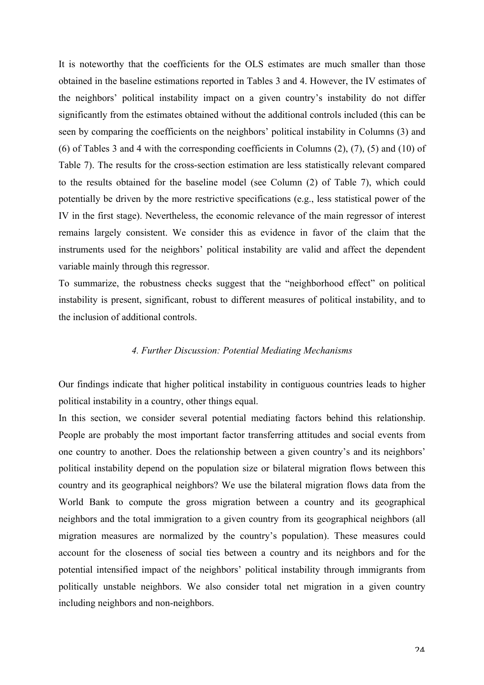It is noteworthy that the coefficients for the OLS estimates are much smaller than those obtained in the baseline estimations reported in Tables 3 and 4. However, the IV estimates of the neighbors' political instability impact on a given country's instability do not differ significantly from the estimates obtained without the additional controls included (this can be seen by comparing the coefficients on the neighbors' political instability in Columns (3) and (6) of Tables 3 and 4 with the corresponding coefficients in Columns (2), (7), (5) and (10) of Table 7). The results for the cross-section estimation are less statistically relevant compared to the results obtained for the baseline model (see Column (2) of Table 7), which could potentially be driven by the more restrictive specifications (e.g., less statistical power of the IV in the first stage). Nevertheless, the economic relevance of the main regressor of interest remains largely consistent. We consider this as evidence in favor of the claim that the instruments used for the neighbors' political instability are valid and affect the dependent variable mainly through this regressor.

To summarize, the robustness checks suggest that the "neighborhood effect" on political instability is present, significant, robust to different measures of political instability, and to the inclusion of additional controls.

### *4. Further Discussion: Potential Mediating Mechanisms*

Our findings indicate that higher political instability in contiguous countries leads to higher political instability in a country, other things equal.

In this section, we consider several potential mediating factors behind this relationship. People are probably the most important factor transferring attitudes and social events from one country to another. Does the relationship between a given country's and its neighbors' political instability depend on the population size or bilateral migration flows between this country and its geographical neighbors? We use the bilateral migration flows data from the World Bank to compute the gross migration between a country and its geographical neighbors and the total immigration to a given country from its geographical neighbors (all migration measures are normalized by the country's population). These measures could account for the closeness of social ties between a country and its neighbors and for the potential intensified impact of the neighbors' political instability through immigrants from politically unstable neighbors. We also consider total net migration in a given country including neighbors and non-neighbors.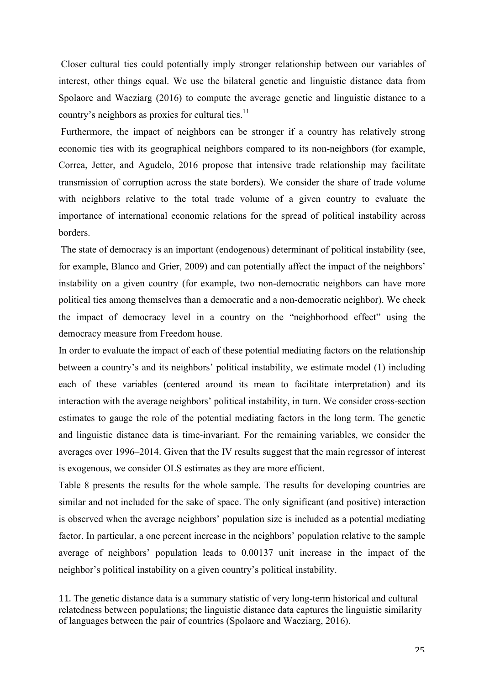Closer cultural ties could potentially imply stronger relationship between our variables of interest, other things equal. We use the bilateral genetic and linguistic distance data from Spolaore and Wacziarg (2016) to compute the average genetic and linguistic distance to a country's neighbors as proxies for cultural ties.<sup>11</sup>

Furthermore, the impact of neighbors can be stronger if a country has relatively strong economic ties with its geographical neighbors compared to its non-neighbors (for example, Correa, Jetter, and Agudelo, 2016 propose that intensive trade relationship may facilitate transmission of corruption across the state borders). We consider the share of trade volume with neighbors relative to the total trade volume of a given country to evaluate the importance of international economic relations for the spread of political instability across borders.

The state of democracy is an important (endogenous) determinant of political instability (see, for example, Blanco and Grier, 2009) and can potentially affect the impact of the neighbors' instability on a given country (for example, two non-democratic neighbors can have more political ties among themselves than a democratic and a non-democratic neighbor). We check the impact of democracy level in a country on the "neighborhood effect" using the democracy measure from Freedom house.

In order to evaluate the impact of each of these potential mediating factors on the relationship between a country's and its neighbors' political instability, we estimate model (1) including each of these variables (centered around its mean to facilitate interpretation) and its interaction with the average neighbors' political instability, in turn. We consider cross-section estimates to gauge the role of the potential mediating factors in the long term. The genetic and linguistic distance data is time-invariant. For the remaining variables, we consider the averages over 1996–2014. Given that the IV results suggest that the main regressor of interest is exogenous, we consider OLS estimates as they are more efficient.

Table 8 presents the results for the whole sample. The results for developing countries are similar and not included for the sake of space. The only significant (and positive) interaction is observed when the average neighbors' population size is included as a potential mediating factor. In particular, a one percent increase in the neighbors' population relative to the sample average of neighbors' population leads to 0.00137 unit increase in the impact of the neighbor's political instability on a given country's political instability.

<sup>11.</sup> The genetic distance data is a summary statistic of very long-term historical and cultural relatedness between populations; the linguistic distance data captures the linguistic similarity of languages between the pair of countries (Spolaore and Wacziarg, 2016).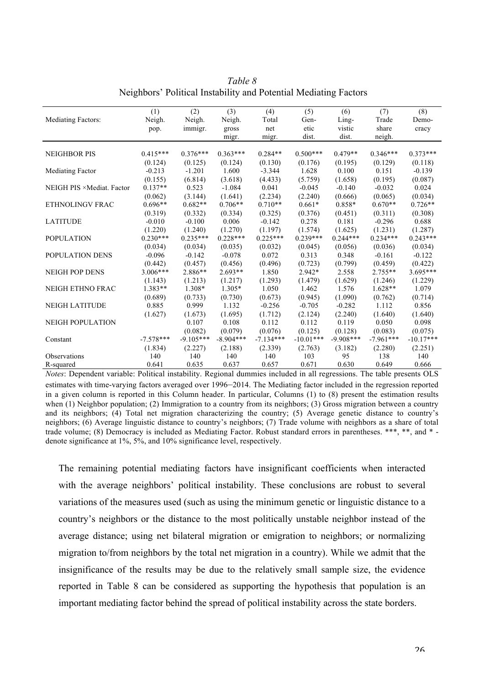|                           | (1)         | (2)         | (3)         | (4)         | (5)         | (6)         | (7)         | (8)         |
|---------------------------|-------------|-------------|-------------|-------------|-------------|-------------|-------------|-------------|
| <b>Mediating Factors:</b> | Neigh.      | Neigh.      | Neigh.      | Total       | Gen-        | Ling-       | Trade       | Demo-       |
|                           |             | immigr.     |             | net         | etic        | vistic      | share       |             |
|                           | pop.        |             | gross       |             | dist.       | dist.       | neigh.      | cracy       |
|                           |             |             | migr.       | migr.       |             |             |             |             |
| <b>NEIGHBOR PIS</b>       | $0.415***$  | $0.376***$  | $0.363***$  | $0.284**$   | $0.500***$  | $0.479**$   | $0.346***$  | $0.373***$  |
|                           | (0.124)     | (0.125)     | (0.124)     | (0.130)     | (0.176)     | (0.195)     | (0.129)     | (0.118)     |
| Mediating Factor          | $-0.213$    | $-1.201$    | 1.600       | $-3.344$    | 1.628       | 0.100       | 0.151       | $-0.139$    |
|                           | (0.155)     | (6.814)     | (3.618)     | (4.433)     | (5.759)     | (1.658)     | (0.195)     | (0.087)     |
| NEIGH PIS ×Mediat. Factor | $0.137**$   | 0.523       | $-1.084$    | 0.041       | $-0.045$    | $-0.140$    | $-0.032$    | 0.024       |
|                           | (0.062)     | (3.144)     | (1.641)     | (2.234)     | (2.240)     | (0.666)     | (0.065)     | (0.034)     |
| ETHNOLINGV FRAC           | $0.696**$   | $0.682**$   | $0.706**$   | $0.710**$   | $0.661*$    | $0.858*$    | $0.670**$   | $0.726**$   |
|                           | (0.319)     | (0.332)     | (0.334)     | (0.325)     | (0.376)     | (0.451)     | (0.311)     | (0.308)     |
| <b>LATITUDE</b>           | $-0.010$    | $-0.100$    | 0.006       | $-0.142$    | 0.278       | 0.181       | $-0.296$    | 0.688       |
|                           | (1.220)     | (1.240)     | (1.270)     | (1.197)     | (1.574)     | (1.625)     | (1.231)     | (1.287)     |
| <b>POPULATION</b>         | $0.230***$  | $0.235***$  | $0.228***$  | $0.225***$  | $0.239***$  | $0.244***$  | $0.234***$  | $0.243***$  |
|                           | (0.034)     | (0.034)     | (0.035)     | (0.032)     | (0.045)     | (0.056)     | (0.036)     | (0.034)     |
| POPULATION DENS           | $-0.096$    | $-0.142$    | $-0.078$    | 0.072       | 0.313       | 0.348       | $-0.161$    | $-0.122$    |
|                           | (0.442)     | (0.457)     | (0.456)     | (0.496)     | (0.723)     | (0.799)     | (0.459)     | (0.422)     |
| NEIGH POP DENS            | $3.006***$  | 2.886**     | $2.693**$   | 1.850       | 2.942*      | 2.558       | $2.755**$   | $3.695***$  |
|                           | (1.143)     | (1.213)     | (1.217)     | (1.293)     | (1.479)     | (1.629)     | (1.246)     | (1.229)     |
| <b>NEIGH ETHNO FRAC</b>   | $1.383**$   | 1.308*      | 1.305*      | 1.050       | 1.462       | 1.576       | $1.628**$   | 1.079       |
|                           | (0.689)     | (0.733)     | (0.730)     | (0.673)     | (0.945)     | (1.090)     | (0.762)     | (0.714)     |
| <b>NEIGH LATITUDE</b>     | 0.885       | 0.999       | 1.132       | $-0.256$    | $-0.705$    | $-0.282$    | 1.112       | 0.856       |
|                           | (1.627)     | (1.673)     | (1.695)     | (1.712)     | (2.124)     | (2.240)     | (1.640)     | (1.640)     |
| <b>NEIGH POPULATION</b>   |             | 0.107       | 0.108       | 0.112       | 0.112       | 0.119       | 0.050       | 0.098       |
|                           |             | (0.082)     | (0.079)     | (0.076)     | (0.125)     | (0.128)     | (0.083)     | (0.075)     |
| Constant                  | $-7.578***$ | $-9.105***$ | $-8.904***$ | $-7.134***$ | $-10.01***$ | $-9.908***$ | $-7.961***$ | $-10.17***$ |
|                           | (1.834)     | (2.227)     | (2.188)     | (2.339)     | (2.763)     | (3.182)     | (2.280)     | (2.251)     |
| Observations              | 140         | 140         | 140         | 140         | 103         | 95          | 138         | 140         |
| R-squared                 | 0.641       | 0.635       | 0.637       | 0.657       | 0.671       | 0.630       | 0.649       | 0.666       |

*Table 8* Neighbors' Political Instability and Potential Mediating Factors

*Notes*: Dependent variable: Political instability. Regional dummies included in all regressions. The table presents OLS estimates with time-varying factors averaged over 1996–2014. The Mediating factor included in the regression reported in a given column is reported in this Column header. In particular, Columns (1) to (8) present the estimation results when (1) Neighbor population; (2) Immigration to a country from its neighbors; (3) Gross migration between a country and its neighbors; (4) Total net migration characterizing the country; (5) Average genetic distance to country's neighbors; (6) Average linguistic distance to country's neighbors; (7) Trade volume with neighbors as a share of total trade volume; (8) Democracy is included as Mediating Factor. Robust standard errors in parentheses. \*\*\*, \*\*, and \* denote significance at 1%, 5%, and 10% significance level, respectively.

The remaining potential mediating factors have insignificant coefficients when interacted with the average neighbors' political instability. These conclusions are robust to several variations of the measures used (such as using the minimum genetic or linguistic distance to a country's neighbors or the distance to the most politically unstable neighbor instead of the average distance; using net bilateral migration or emigration to neighbors; or normalizing migration to/from neighbors by the total net migration in a country). While we admit that the insignificance of the results may be due to the relatively small sample size, the evidence reported in Table 8 can be considered as supporting the hypothesis that population is an important mediating factor behind the spread of political instability across the state borders.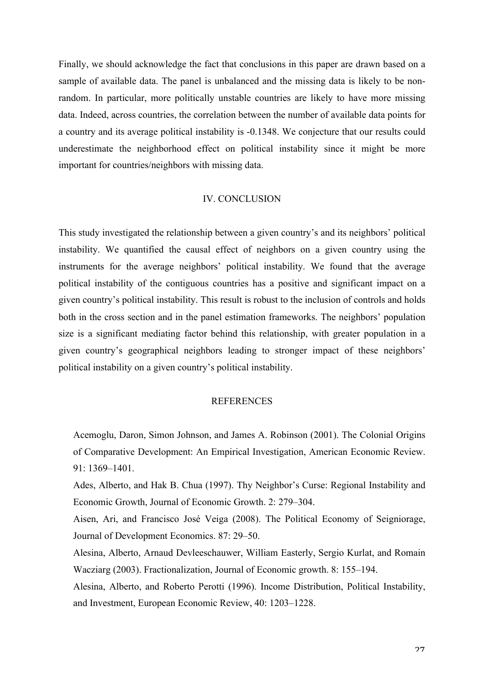Finally, we should acknowledge the fact that conclusions in this paper are drawn based on a sample of available data. The panel is unbalanced and the missing data is likely to be nonrandom. In particular, more politically unstable countries are likely to have more missing data. Indeed, across countries, the correlation between the number of available data points for a country and its average political instability is -0.1348. We conjecture that our results could underestimate the neighborhood effect on political instability since it might be more important for countries/neighbors with missing data.

#### IV. CONCLUSION

This study investigated the relationship between a given country's and its neighbors' political instability. We quantified the causal effect of neighbors on a given country using the instruments for the average neighbors' political instability. We found that the average political instability of the contiguous countries has a positive and significant impact on a given country's political instability. This result is robust to the inclusion of controls and holds both in the cross section and in the panel estimation frameworks. The neighbors' population size is a significant mediating factor behind this relationship, with greater population in a given country's geographical neighbors leading to stronger impact of these neighbors' political instability on a given country's political instability.

#### **REFERENCES**

Acemoglu, Daron, Simon Johnson, and James A. Robinson (2001). The Colonial Origins of Comparative Development: An Empirical Investigation, American Economic Review.  $91 \cdot 1369 - 1401$ 

Ades, Alberto, and Hak B. Chua (1997). Thy Neighbor's Curse: Regional Instability and Economic Growth, Journal of Economic Growth. 2: 279–304.

Aisen, Ari, and Francisco José Veiga (2008). The Political Economy of Seigniorage, Journal of Development Economics. 87: 29–50.

Alesina, Alberto, Arnaud Devleeschauwer, William Easterly, Sergio Kurlat, and Romain Wacziarg (2003). Fractionalization, Journal of Economic growth. 8: 155–194.

Alesina, Alberto, and Roberto Perotti (1996). Income Distribution, Political Instability, and Investment, European Economic Review, 40: 1203–1228.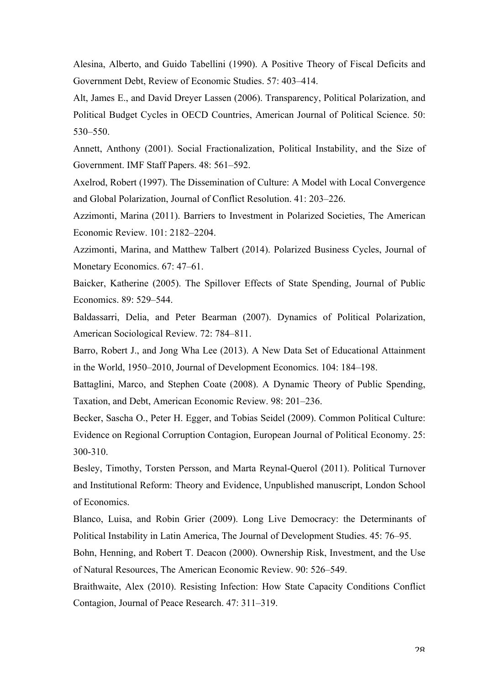Alesina, Alberto, and Guido Tabellini (1990). A Positive Theory of Fiscal Deficits and Government Debt, Review of Economic Studies. 57: 403–414.

Alt, James E., and David Dreyer Lassen (2006). Transparency, Political Polarization, and Political Budget Cycles in OECD Countries, American Journal of Political Science. 50: 530–550.

Annett, Anthony (2001). Social Fractionalization, Political Instability, and the Size of Government. IMF Staff Papers. 48: 561–592.

Axelrod, Robert (1997). The Dissemination of Culture: A Model with Local Convergence and Global Polarization, Journal of Conflict Resolution. 41: 203–226.

Azzimonti, Marina (2011). Barriers to Investment in Polarized Societies, The American Economic Review. 101: 2182–2204.

Azzimonti, Marina, and Matthew Talbert (2014). Polarized Business Cycles, Journal of Monetary Economics. 67: 47–61.

Baicker, Katherine (2005). The Spillover Effects of State Spending, Journal of Public Economics. 89: 529–544.

Baldassarri, Delia, and Peter Bearman (2007). Dynamics of Political Polarization, American Sociological Review. 72: 784–811.

Barro, Robert J., and Jong Wha Lee (2013). A New Data Set of Educational Attainment in the World, 1950–2010, Journal of Development Economics. 104: 184–198.

Battaglini, Marco, and Stephen Coate (2008). A Dynamic Theory of Public Spending, Taxation, and Debt, American Economic Review. 98: 201–236.

Becker, Sascha O., Peter H. Egger, and Tobias Seidel (2009). Common Political Culture: Evidence on Regional Corruption Contagion, European Journal of Political Economy. 25: 300-310.

Besley, Timothy, Torsten Persson, and Marta Reynal-Querol (2011). Political Turnover and Institutional Reform: Theory and Evidence, Unpublished manuscript, London School of Economics.

Blanco, Luisa, and Robin Grier (2009). Long Live Democracy: the Determinants of Political Instability in Latin America, The Journal of Development Studies. 45: 76–95.

Bohn, Henning, and Robert T. Deacon (2000). Ownership Risk, Investment, and the Use of Natural Resources, The American Economic Review. 90: 526–549.

Braithwaite, Alex (2010). Resisting Infection: How State Capacity Conditions Conflict Contagion, Journal of Peace Research. 47: 311–319.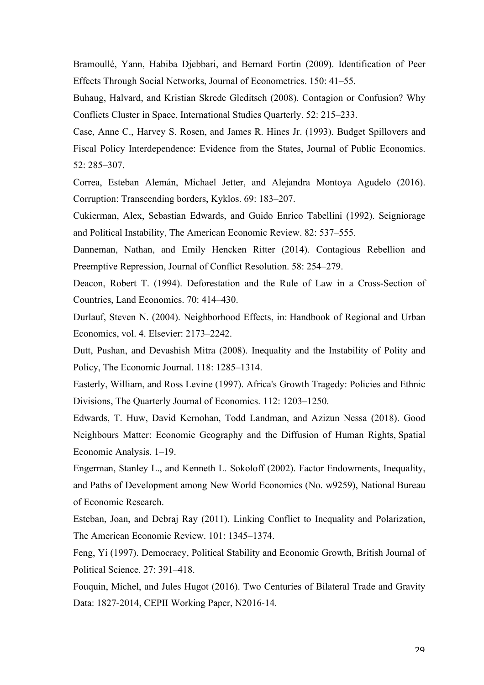Bramoullé, Yann, Habiba Djebbari, and Bernard Fortin (2009). Identification of Peer Effects Through Social Networks, Journal of Econometrics. 150: 41–55.

Buhaug, Halvard, and Kristian Skrede Gleditsch (2008). Contagion or Confusion? Why Conflicts Cluster in Space, International Studies Quarterly. 52: 215–233.

Case, Anne C., Harvey S. Rosen, and James R. Hines Jr. (1993). Budget Spillovers and Fiscal Policy Interdependence: Evidence from the States, Journal of Public Economics. 52: 285–307.

Correa, Esteban Alemán, Michael Jetter, and Alejandra Montoya Agudelo (2016). Corruption: Transcending borders, Kyklos. 69: 183–207.

Cukierman, Alex, Sebastian Edwards, and Guido Enrico Tabellini (1992). Seigniorage and Political Instability, The American Economic Review. 82: 537–555.

Danneman, Nathan, and Emily Hencken Ritter (2014). Contagious Rebellion and Preemptive Repression, Journal of Conflict Resolution. 58: 254–279.

Deacon, Robert T. (1994). Deforestation and the Rule of Law in a Cross-Section of Countries, Land Economics. 70: 414–430.

Durlauf, Steven N. (2004). Neighborhood Effects, in: Handbook of Regional and Urban Economics, vol. 4. Elsevier: 2173–2242.

Dutt, Pushan, and Devashish Mitra (2008). Inequality and the Instability of Polity and Policy, The Economic Journal. 118: 1285–1314.

Easterly, William, and Ross Levine (1997). Africa's Growth Tragedy: Policies and Ethnic Divisions, The Quarterly Journal of Economics. 112: 1203–1250.

Edwards, T. Huw, David Kernohan, Todd Landman, and Azizun Nessa (2018). Good Neighbours Matter: Economic Geography and the Diffusion of Human Rights, Spatial Economic Analysis. 1–19.

Engerman, Stanley L., and Kenneth L. Sokoloff (2002). Factor Endowments, Inequality, and Paths of Development among New World Economics (No. w9259), National Bureau of Economic Research.

Esteban, Joan, and Debraj Ray (2011). Linking Conflict to Inequality and Polarization, The American Economic Review. 101: 1345–1374.

Feng, Yi (1997). Democracy, Political Stability and Economic Growth, British Journal of Political Science. 27: 391–418.

Fouquin, Michel, and Jules Hugot (2016). Two Centuries of Bilateral Trade and Gravity Data: 1827-2014, CEPII Working Paper, N2016-14.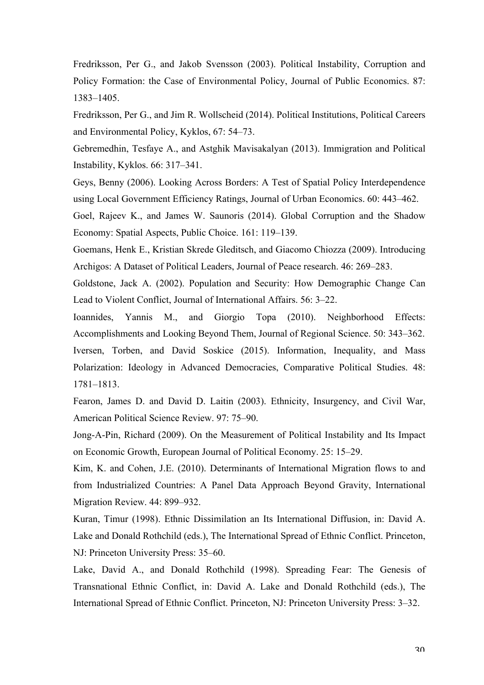Fredriksson, Per G., and Jakob Svensson (2003). Political Instability, Corruption and Policy Formation: the Case of Environmental Policy, Journal of Public Economics. 87: 1383–1405.

Fredriksson, Per G., and Jim R. Wollscheid (2014). Political Institutions, Political Careers and Environmental Policy, Kyklos, 67: 54–73.

Gebremedhin, Tesfaye A., and Astghik Mavisakalyan (2013). Immigration and Political Instability, Kyklos. 66: 317–341.

Geys, Benny (2006). Looking Across Borders: A Test of Spatial Policy Interdependence using Local Government Efficiency Ratings, Journal of Urban Economics. 60: 443–462.

Goel, Rajeev K., and James W. Saunoris (2014). Global Corruption and the Shadow Economy: Spatial Aspects, Public Choice. 161: 119–139.

Goemans, Henk E., Kristian Skrede Gleditsch, and Giacomo Chiozza (2009). Introducing Archigos: A Dataset of Political Leaders, Journal of Peace research. 46: 269–283.

Goldstone, Jack A. (2002). Population and Security: How Demographic Change Can Lead to Violent Conflict, Journal of International Affairs. 56: 3–22.

Ioannides, Yannis M., and Giorgio Topa (2010). Neighborhood Effects: Accomplishments and Looking Beyond Them, Journal of Regional Science. 50: 343–362. Iversen, Torben, and David Soskice (2015). Information, Inequality, and Mass Polarization: Ideology in Advanced Democracies, Comparative Political Studies. 48: 1781–1813.

Fearon, James D. and David D. Laitin (2003). Ethnicity, Insurgency, and Civil War, American Political Science Review. 97: 75–90.

Jong-A-Pin, Richard (2009). On the Measurement of Political Instability and Its Impact on Economic Growth, European Journal of Political Economy. 25: 15–29.

Kim, K. and Cohen, J.E. (2010). Determinants of International Migration flows to and from Industrialized Countries: A Panel Data Approach Beyond Gravity, International Migration Review. 44: 899–932.

Kuran, Timur (1998). Ethnic Dissimilation an Its International Diffusion, in: David A. Lake and Donald Rothchild (eds.), The International Spread of Ethnic Conflict. Princeton, NJ: Princeton University Press: 35–60.

Lake, David A., and Donald Rothchild (1998). Spreading Fear: The Genesis of Transnational Ethnic Conflict, in: David A. Lake and Donald Rothchild (eds.), The International Spread of Ethnic Conflict. Princeton, NJ: Princeton University Press: 3–32.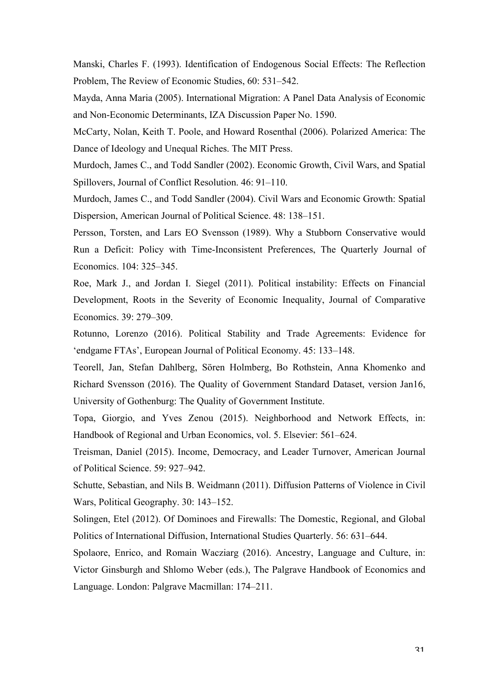Manski, Charles F. (1993). Identification of Endogenous Social Effects: The Reflection Problem, The Review of Economic Studies, 60: 531–542.

Mayda, Anna Maria (2005). International Migration: A Panel Data Analysis of Economic and Non-Economic Determinants, IZA Discussion Paper No. 1590.

McCarty, Nolan, Keith T. Poole, and Howard Rosenthal (2006). Polarized America: The Dance of Ideology and Unequal Riches. The MIT Press.

Murdoch, James C., and Todd Sandler (2002). Economic Growth, Civil Wars, and Spatial Spillovers, Journal of Conflict Resolution. 46: 91–110.

Murdoch, James C., and Todd Sandler (2004). Civil Wars and Economic Growth: Spatial Dispersion, American Journal of Political Science. 48: 138–151.

Persson, Torsten, and Lars EO Svensson (1989). Why a Stubborn Conservative would Run a Deficit: Policy with Time-Inconsistent Preferences, The Quarterly Journal of Economics. 104: 325–345.

Roe, Mark J., and Jordan I. Siegel (2011). Political instability: Effects on Financial Development, Roots in the Severity of Economic Inequality, Journal of Comparative Economics. 39: 279–309.

Rotunno, Lorenzo (2016). Political Stability and Trade Agreements: Evidence for 'endgame FTAs', European Journal of Political Economy. 45: 133–148.

Teorell, Jan, Stefan Dahlberg, Sören Holmberg, Bo Rothstein, Anna Khomenko and Richard Svensson (2016). The Quality of Government Standard Dataset, version Jan16, University of Gothenburg: The Quality of Government Institute.

Topa, Giorgio, and Yves Zenou (2015). Neighborhood and Network Effects, in: Handbook of Regional and Urban Economics, vol. 5. Elsevier: 561–624.

Treisman, Daniel (2015). Income, Democracy, and Leader Turnover, American Journal of Political Science. 59: 927–942.

Schutte, Sebastian, and Nils B. Weidmann (2011). Diffusion Patterns of Violence in Civil Wars, Political Geography. 30: 143–152.

Solingen, Etel (2012). Of Dominoes and Firewalls: The Domestic, Regional, and Global Politics of International Diffusion, International Studies Quarterly. 56: 631–644.

Spolaore, Enrico, and Romain Wacziarg (2016). Ancestry, Language and Culture, in: Victor Ginsburgh and Shlomo Weber (eds.), The Palgrave Handbook of Economics and Language. London: Palgrave Macmillan: 174–211.